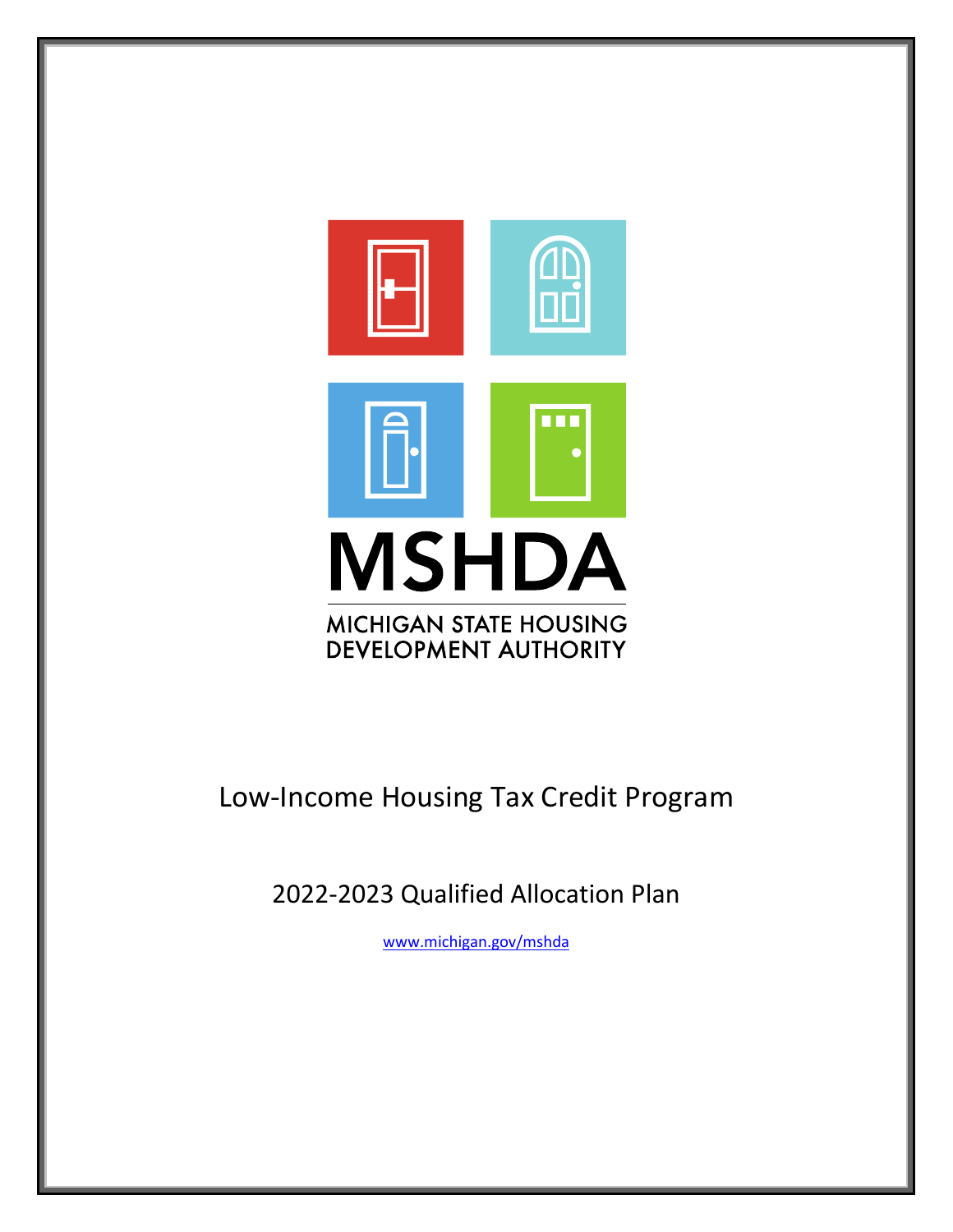

# Low-Income Housing Tax Credit Program

2022-2023 Qualified Allocation Plan

[www.michigan.gov/mshda](http://www.michigan.gov/mshda)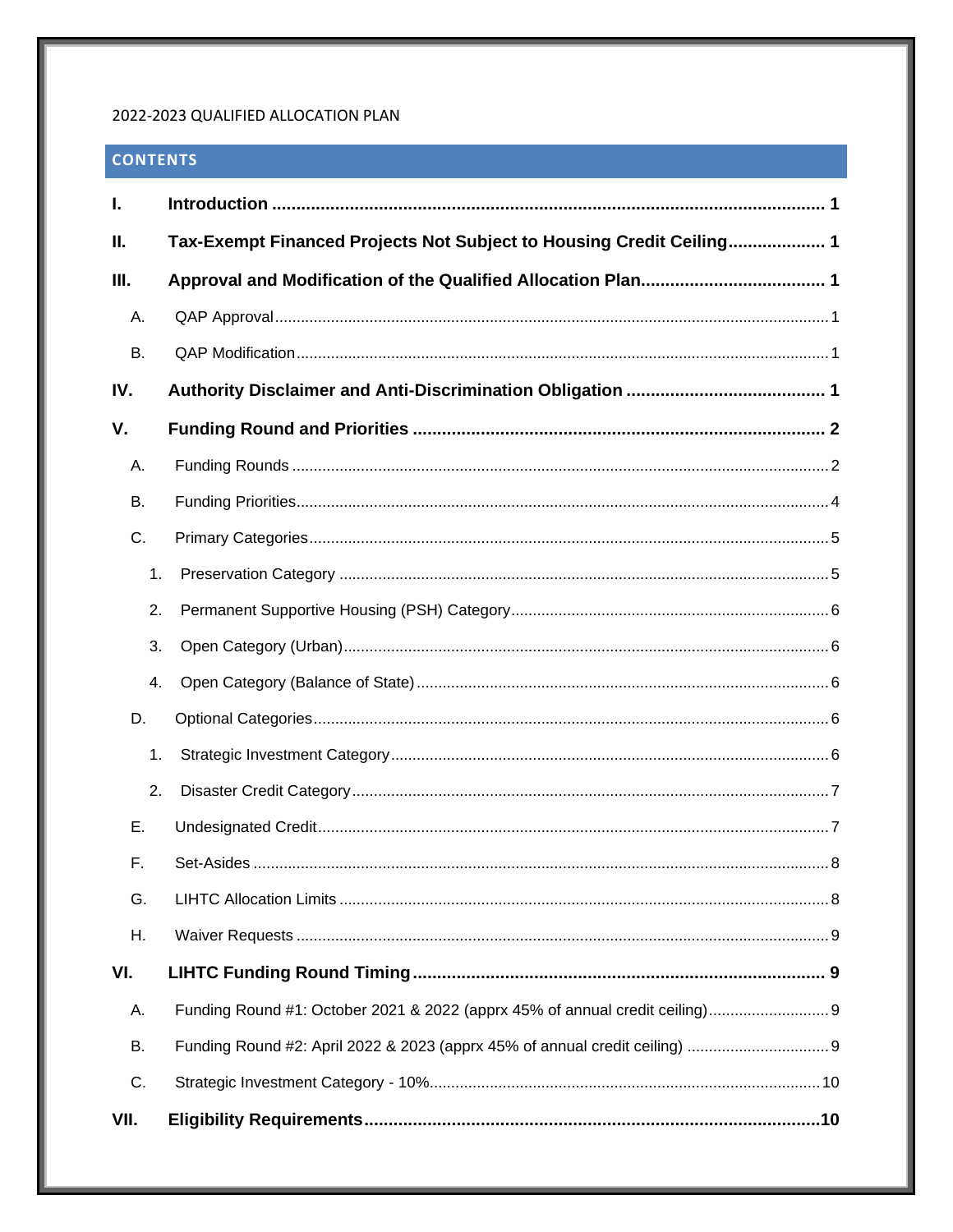#### 2022-2023 QUALIFIED ALLOCATION PLAN

# **CONTENTS**

| I.        |                                                                      |
|-----------|----------------------------------------------------------------------|
| Ш.        | Tax-Exempt Financed Projects Not Subject to Housing Credit Ceiling 1 |
| III.      |                                                                      |
| А.        |                                                                      |
| <b>B.</b> |                                                                      |
| IV.       |                                                                      |
| V.        |                                                                      |
| А.        |                                                                      |
| <b>B.</b> |                                                                      |
| C.        |                                                                      |
| 1.        |                                                                      |
| 2.        |                                                                      |
| 3.        |                                                                      |
| 4.        |                                                                      |
| D.        |                                                                      |
| 1.        |                                                                      |
| 2.        |                                                                      |
| Е.        |                                                                      |
| F.        |                                                                      |
| G.        |                                                                      |
| Η.        |                                                                      |
| VI.       |                                                                      |
| А.        |                                                                      |
| В.        |                                                                      |
| C.        |                                                                      |
| VII.      |                                                                      |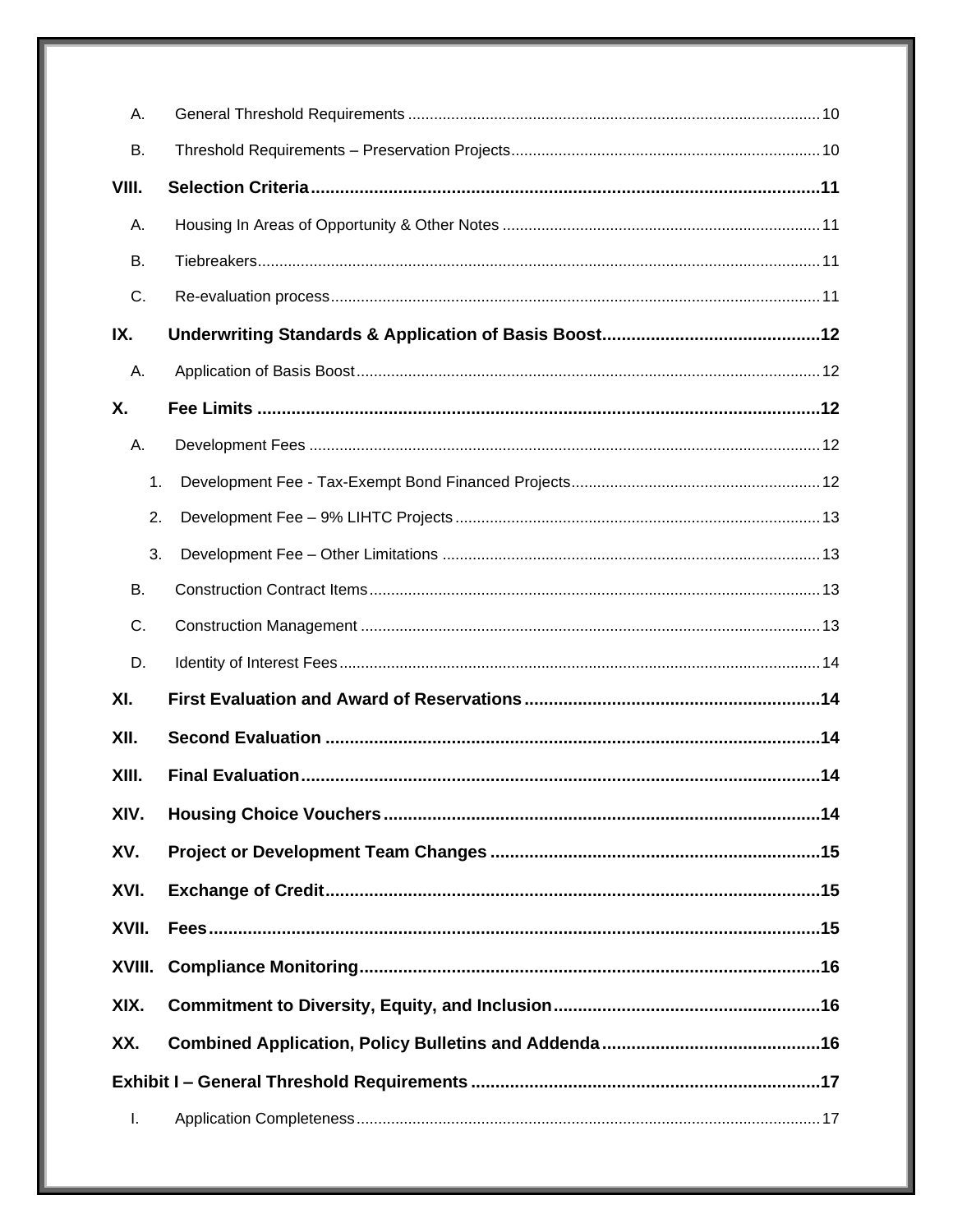| А.     |  |
|--------|--|
| В.     |  |
| VIII.  |  |
| Α.     |  |
| В.     |  |
| C.     |  |
| IX.    |  |
| А.     |  |
| Χ.     |  |
| А.     |  |
| 1.     |  |
| 2.     |  |
| 3.     |  |
| Β.     |  |
| C.     |  |
| D.     |  |
| XI.    |  |
| XII.   |  |
| XIII.  |  |
| XIV.   |  |
| XV.    |  |
| XVI.   |  |
| XVII.  |  |
| XVIII. |  |
| XIX.   |  |
| XX.    |  |
|        |  |
| L.     |  |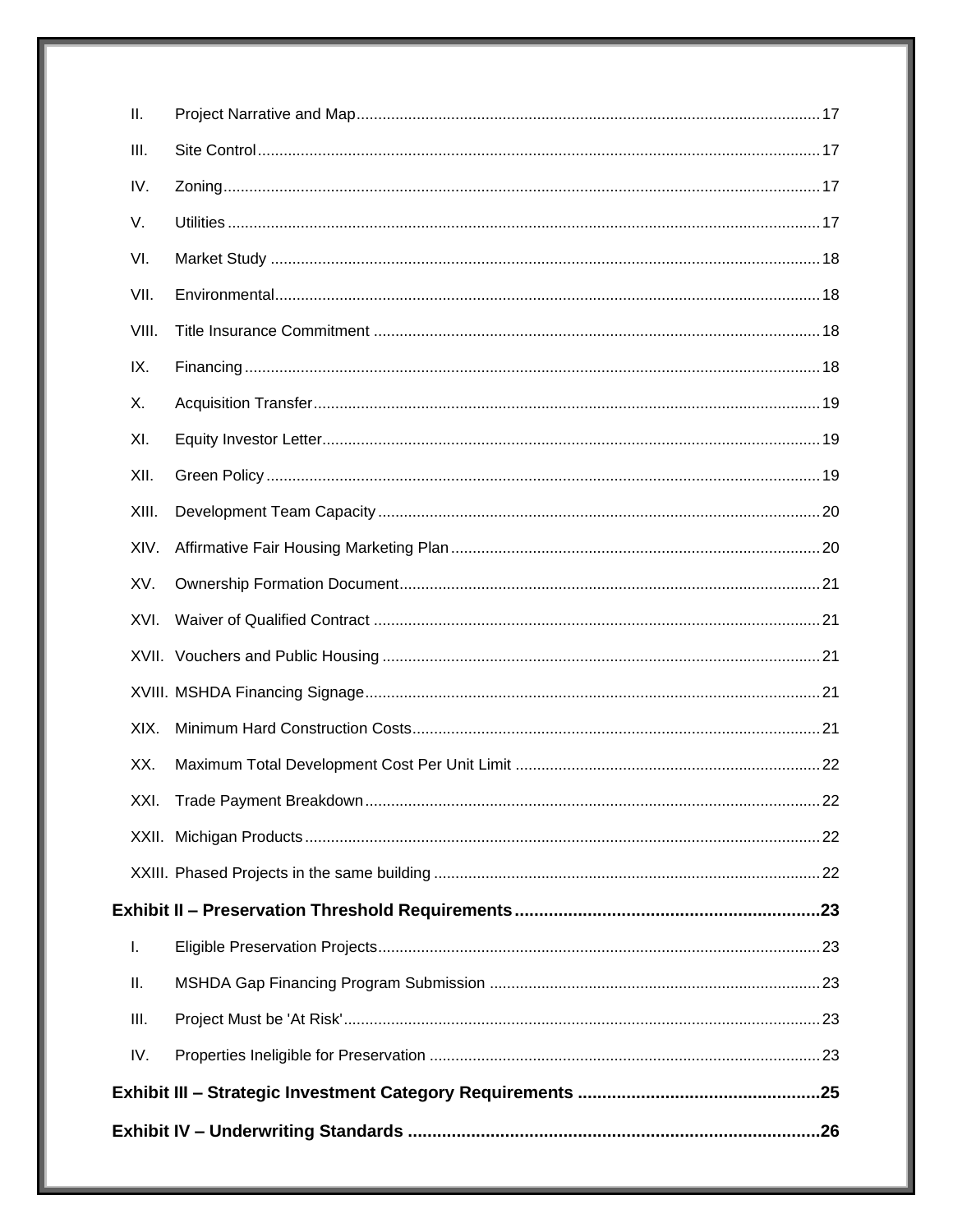| Ш.    |  |
|-------|--|
| III.  |  |
| IV.   |  |
| V.    |  |
| VI.   |  |
| VII.  |  |
| VIII. |  |
| IX.   |  |
| Х.    |  |
| XI.   |  |
| XII.  |  |
| XIII. |  |
| XIV.  |  |
| XV.   |  |
| XVI.  |  |
|       |  |
|       |  |
| XIX.  |  |
| XX.   |  |
|       |  |
|       |  |
|       |  |
|       |  |
| T.    |  |
| Ш.    |  |
| III.  |  |
| IV.   |  |
|       |  |
|       |  |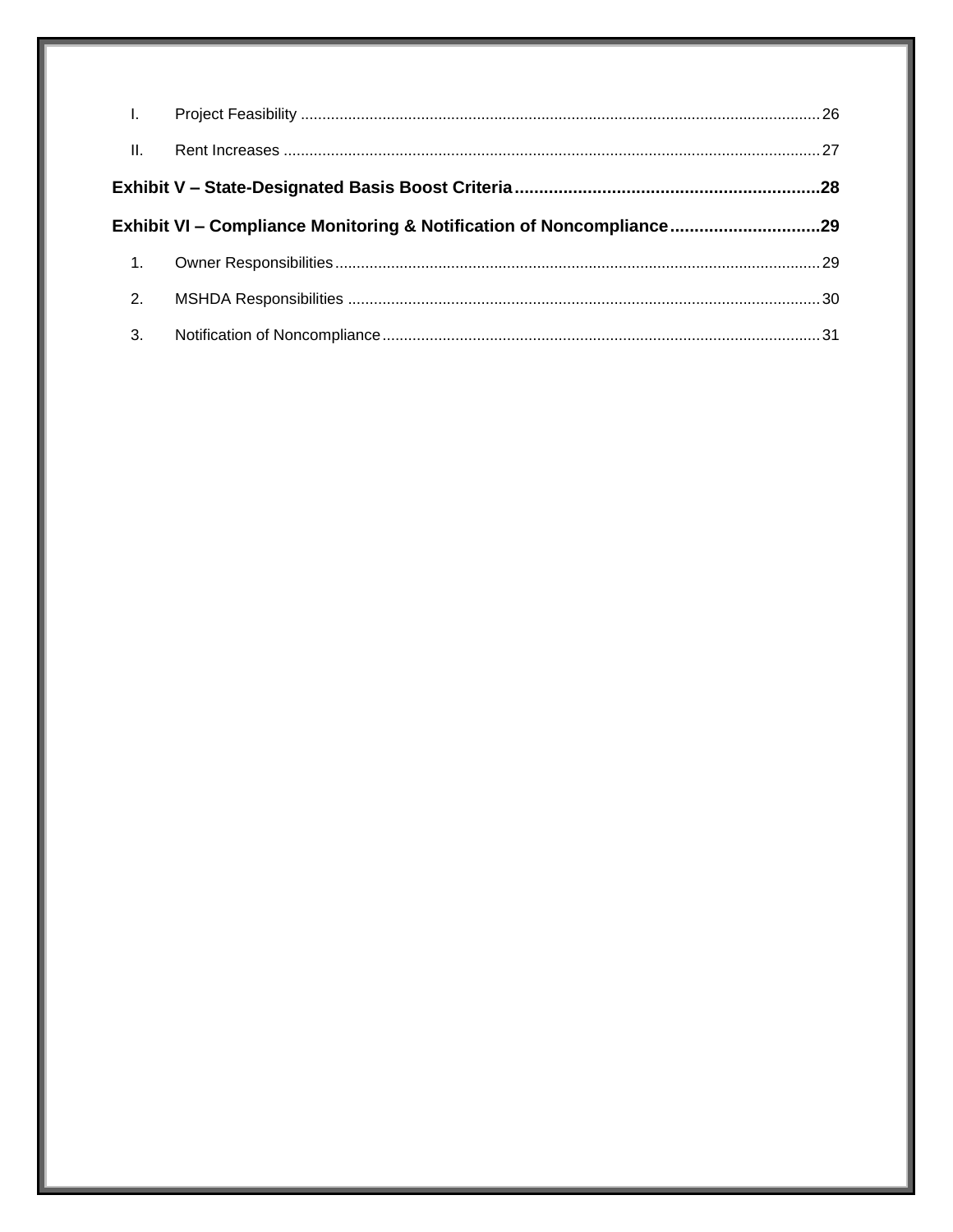| $\mathbf{L}$ |                                                                      |  |
|--------------|----------------------------------------------------------------------|--|
| II.          |                                                                      |  |
|              |                                                                      |  |
|              | Exhibit VI – Compliance Monitoring & Notification of Noncompliance29 |  |
| 1.           |                                                                      |  |
| 2.           |                                                                      |  |
| 3.           |                                                                      |  |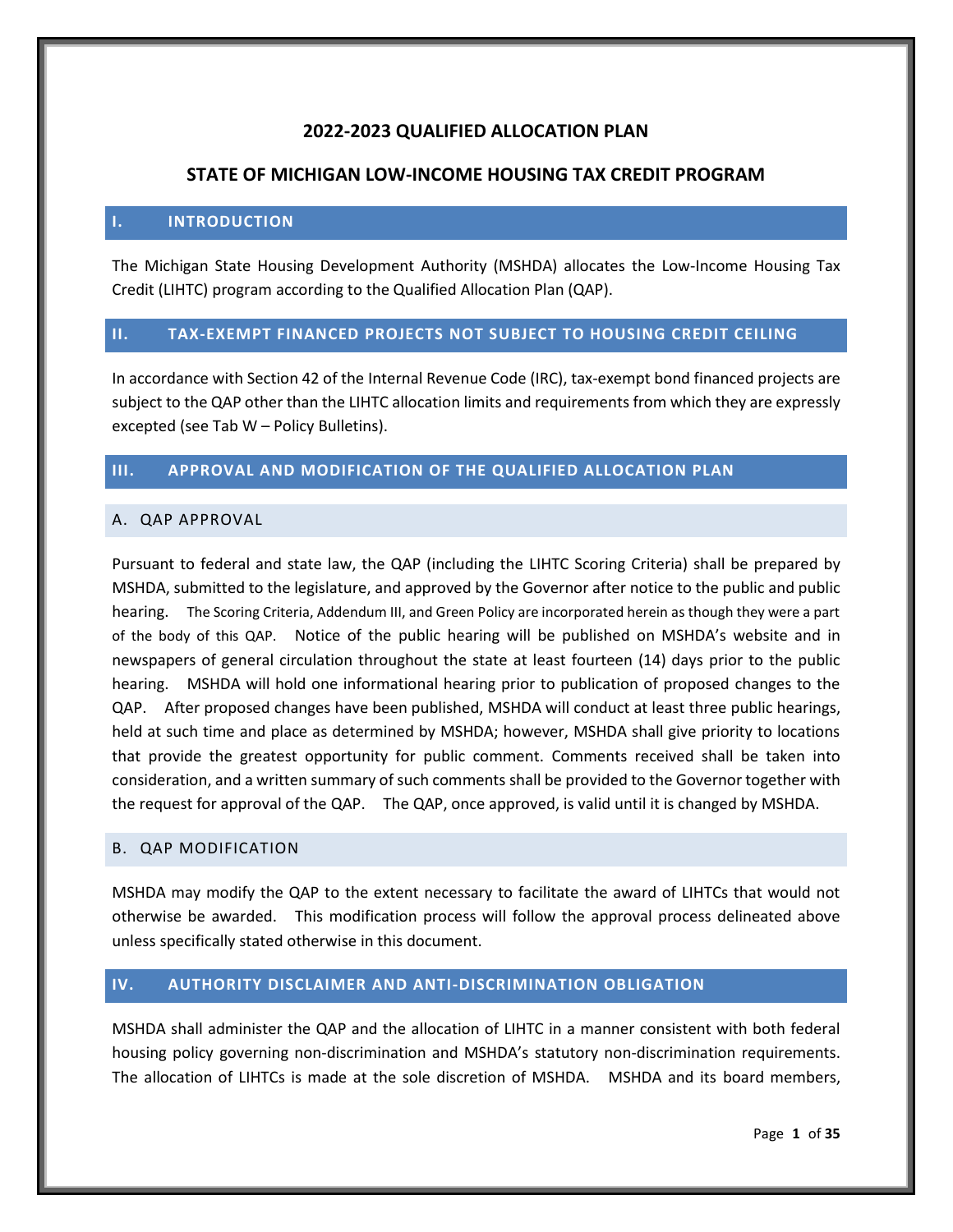# **2022-2023 QUALIFIED ALLOCATION PLAN**

# **STATE OF MICHIGAN LOW-INCOME HOUSING TAX CREDIT PROGRAM**

## <span id="page-5-0"></span>**I. INTRODUCTION**

The Michigan State Housing Development Authority (MSHDA) allocates the Low-Income Housing Tax Credit (LIHTC) program according to the Qualified Allocation Plan (QAP).

## <span id="page-5-1"></span>**II. TAX-EXEMPT FINANCED PROJECTS NOT SUBJECT TO HOUSING CREDIT CEILING**

In accordance with Section 42 of the Internal Revenue Code (IRC), tax-exempt bond financed projects are subject to the QAP other than the LIHTC allocation limits and requirements from which they are expressly excepted (see Tab W – Policy Bulletins).

## <span id="page-5-2"></span>**III. APPROVAL AND MODIFICATION OF THE QUALIFIED ALLOCATION PLAN**

## <span id="page-5-3"></span>A. QAP APPROVAL

Pursuant to federal and state law, the QAP (including the LIHTC Scoring Criteria) shall be prepared by MSHDA, submitted to the legislature, and approved by the Governor after notice to the public and public hearing. The Scoring Criteria, Addendum III, and Green Policy are incorporated herein as though they were a part of the body of this QAP. Notice of the public hearing will be published on MSHDA's website and in newspapers of general circulation throughout the state at least fourteen (14) days prior to the public hearing. MSHDA will hold one informational hearing prior to publication of proposed changes to the QAP. After proposed changes have been published, MSHDA will conduct at least three public hearings, held at such time and place as determined by MSHDA; however, MSHDA shall give priority to locations that provide the greatest opportunity for public comment. Comments received shall be taken into consideration, and a written summary of such comments shall be provided to the Governor together with the request for approval of the QAP. The QAP, once approved, is valid until it is changed by MSHDA.

## <span id="page-5-4"></span>B. QAP MODIFICATION

MSHDA may modify the QAP to the extent necessary to facilitate the award of LIHTCs that would not otherwise be awarded. This modification process will follow the approval process delineated above unless specifically stated otherwise in this document.

# <span id="page-5-5"></span>**IV. AUTHORITY DISCLAIMER AND ANTI-DISCRIMINATION OBLIGATION**

MSHDA shall administer the QAP and the allocation of LIHTC in a manner consistent with both federal housing policy governing non-discrimination and MSHDA's statutory non-discrimination requirements. The allocation of LIHTCs is made at the sole discretion of MSHDA. MSHDA and its board members,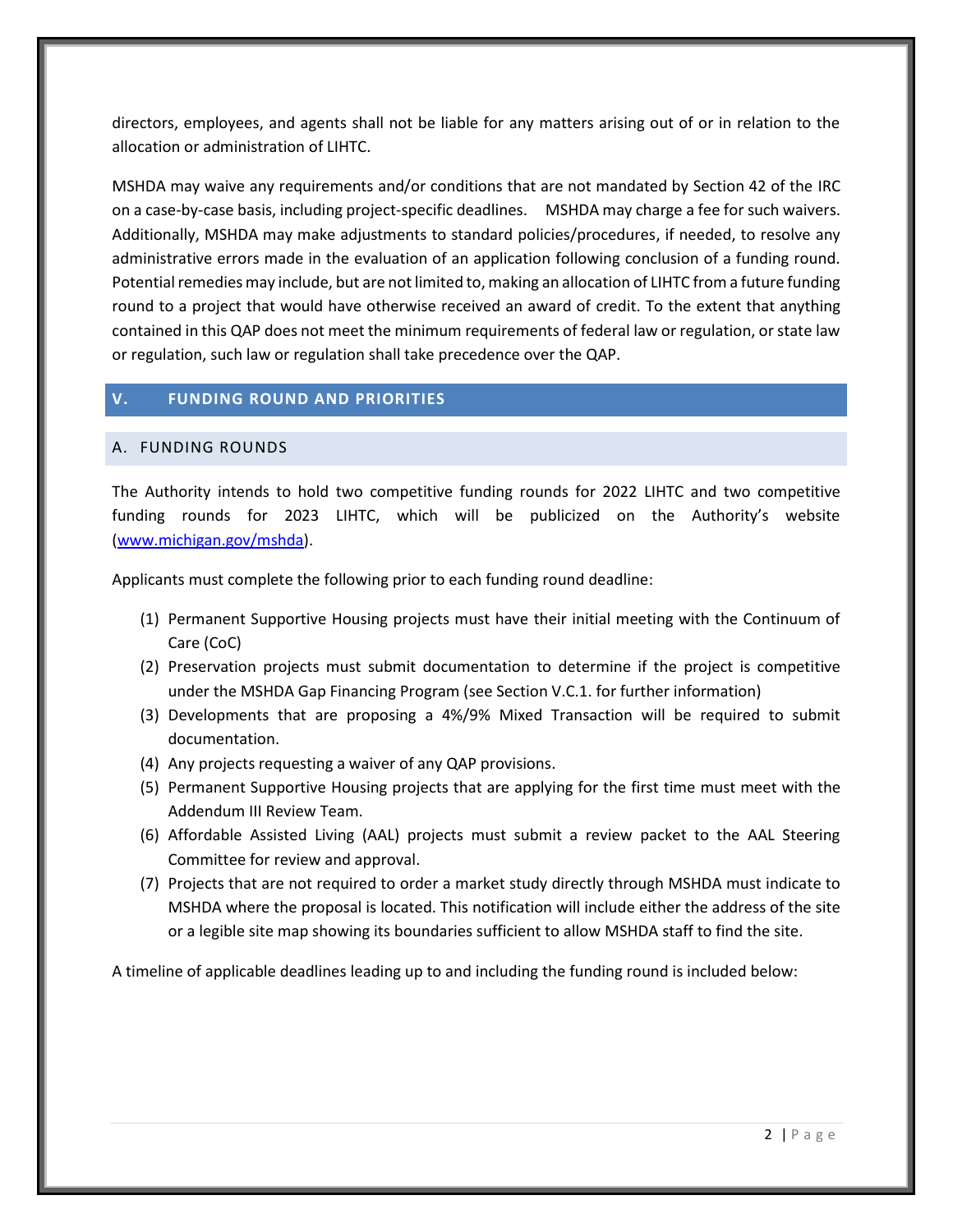directors, employees, and agents shall not be liable for any matters arising out of or in relation to the allocation or administration of LIHTC.

MSHDA may waive any requirements and/or conditions that are not mandated by Section 42 of the IRC on a case-by-case basis, including project-specific deadlines. MSHDA may charge a fee for such waivers. Additionally, MSHDA may make adjustments to standard policies/procedures, if needed, to resolve any administrative errors made in the evaluation of an application following conclusion of a funding round. Potential remedies may include, but are not limited to, making an allocation of LIHTC from a future funding round to a project that would have otherwise received an award of credit. To the extent that anything contained in this QAP does not meet the minimum requirements of federal law or regulation, or state law or regulation, such law or regulation shall take precedence over the QAP.

## <span id="page-6-0"></span>**V. FUNDING ROUND AND PRIORITIES**

#### <span id="page-6-1"></span>A. FUNDING ROUNDS

The Authority intends to hold two competitive funding rounds for 2022 LIHTC and two competitive funding rounds for 2023 LIHTC, which will be publicized on the Authority's website (www.michigan.gov/mshda).

Applicants must complete the following prior to each funding round deadline:

- (1) Permanent Supportive Housing projects must have their initial meeting with the Continuum of Care (CoC)
- (2) Preservation projects must submit documentation to determine if the project is competitive under the MSHDA Gap Financing Program (see Section V.C.1. for further information)
- (3) Developments that are proposing a 4%/9% Mixed Transaction will be required to submit documentation.
- (4) Any projects requesting a waiver of any QAP provisions.
- (5) Permanent Supportive Housing projects that are applying for the first time must meet with the Addendum III Review Team.
- (6) Affordable Assisted Living (AAL) projects must submit a review packet to the AAL Steering Committee for review and approval.
- (7) Projects that are not required to order a market study directly through MSHDA must indicate to MSHDA where the proposal is located. This notification will include either the address of the site or a legible site map showing its boundaries sufficient to allow MSHDA staff to find the site.

A timeline of applicable deadlines leading up to and including the funding round is included below: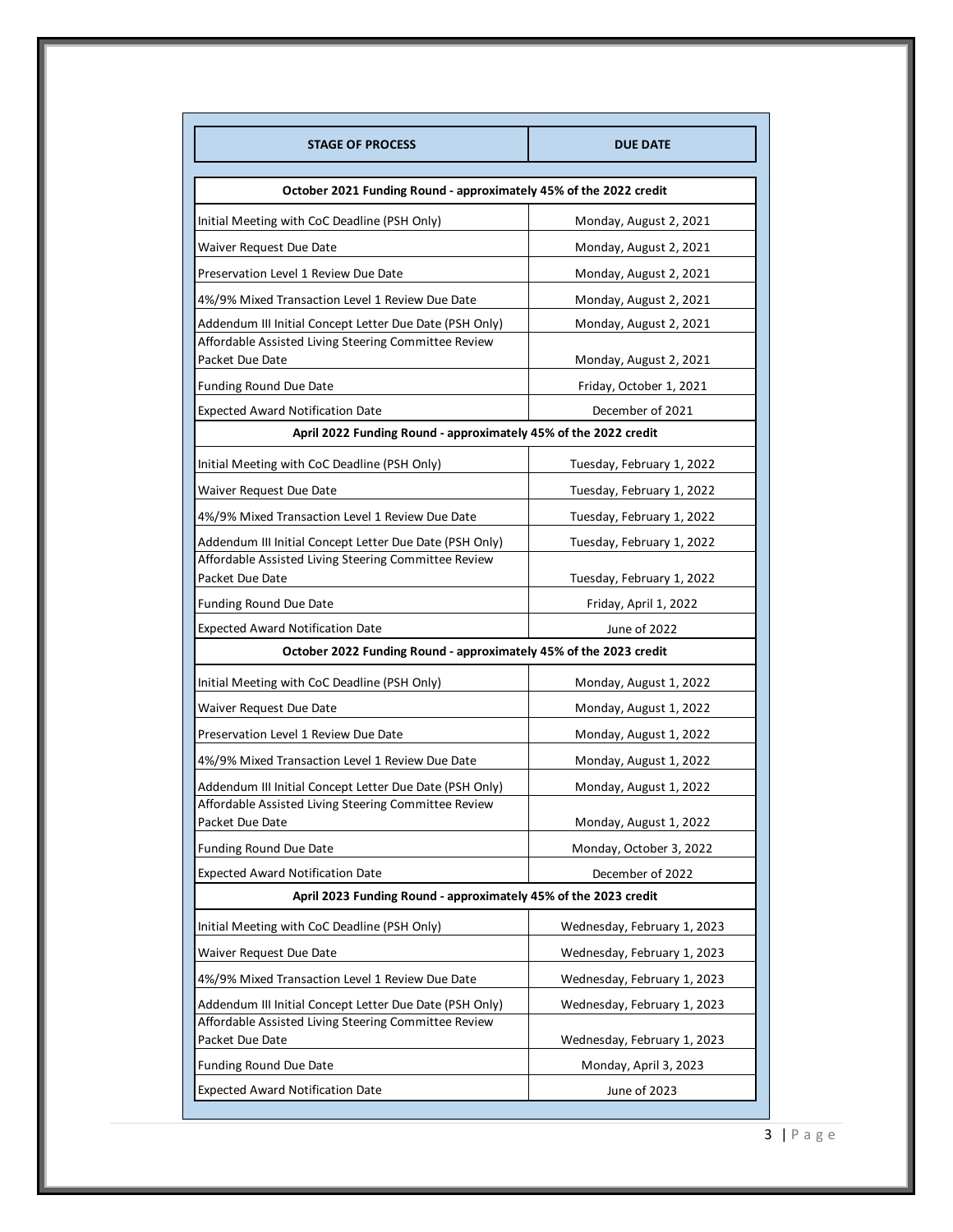| <b>STAGE OF PROCESS</b>                                                 | <b>DUE DATE</b>                       |  |  |
|-------------------------------------------------------------------------|---------------------------------------|--|--|
| October 2021 Funding Round - approximately 45% of the 2022 credit       |                                       |  |  |
| Initial Meeting with CoC Deadline (PSH Only)                            | Monday, August 2, 2021                |  |  |
| Waiver Request Due Date                                                 | Monday, August 2, 2021                |  |  |
| Preservation Level 1 Review Due Date                                    | Monday, August 2, 2021                |  |  |
| 4%/9% Mixed Transaction Level 1 Review Due Date                         | Monday, August 2, 2021                |  |  |
| Addendum III Initial Concept Letter Due Date (PSH Only)                 | Monday, August 2, 2021                |  |  |
| Affordable Assisted Living Steering Committee Review<br>Packet Due Date | Monday, August 2, 2021                |  |  |
| <b>Funding Round Due Date</b>                                           | Friday, October 1, 2021               |  |  |
| <b>Expected Award Notification Date</b>                                 | December of 2021                      |  |  |
| April 2022 Funding Round - approximately 45% of the 2022 credit         |                                       |  |  |
| Initial Meeting with CoC Deadline (PSH Only)                            | Tuesday, February 1, 2022             |  |  |
| Waiver Request Due Date                                                 | Tuesday, February 1, 2022             |  |  |
| 4%/9% Mixed Transaction Level 1 Review Due Date                         | Tuesday, February 1, 2022             |  |  |
| Addendum III Initial Concept Letter Due Date (PSH Only)                 | Tuesday, February 1, 2022             |  |  |
| Affordable Assisted Living Steering Committee Review<br>Packet Due Date |                                       |  |  |
|                                                                         | Tuesday, February 1, 2022             |  |  |
| Funding Round Due Date<br><b>Expected Award Notification Date</b>       | Friday, April 1, 2022<br>June of 2022 |  |  |
| October 2022 Funding Round - approximately 45% of the 2023 credit       |                                       |  |  |
| Initial Meeting with CoC Deadline (PSH Only)                            | Monday, August 1, 2022                |  |  |
| Waiver Request Due Date                                                 | Monday, August 1, 2022                |  |  |
| Preservation Level 1 Review Due Date                                    | Monday, August 1, 2022                |  |  |
| 4%/9% Mixed Transaction Level 1 Review Due Date                         | Monday, August 1, 2022                |  |  |
| Addendum III Initial Concept Letter Due Date (PSH Only)                 | Monday, August 1, 2022                |  |  |
| Affordable Assisted Living Steering Committee Review<br>Packet Due Date | Monday, August 1, 2022                |  |  |
| Funding Round Due Date                                                  | Monday, October 3, 2022               |  |  |
| <b>Expected Award Notification Date</b>                                 | December of 2022                      |  |  |
| April 2023 Funding Round - approximately 45% of the 2023 credit         |                                       |  |  |
| Initial Meeting with CoC Deadline (PSH Only)                            | Wednesday, February 1, 2023           |  |  |
| Waiver Request Due Date                                                 | Wednesday, February 1, 2023           |  |  |
| 4%/9% Mixed Transaction Level 1 Review Due Date                         | Wednesday, February 1, 2023           |  |  |
| Addendum III Initial Concept Letter Due Date (PSH Only)                 | Wednesday, February 1, 2023           |  |  |
| Affordable Assisted Living Steering Committee Review                    |                                       |  |  |
| Packet Due Date                                                         | Wednesday, February 1, 2023           |  |  |
| <b>Funding Round Due Date</b>                                           | Monday, April 3, 2023                 |  |  |
| <b>Expected Award Notification Date</b>                                 | June of 2023                          |  |  |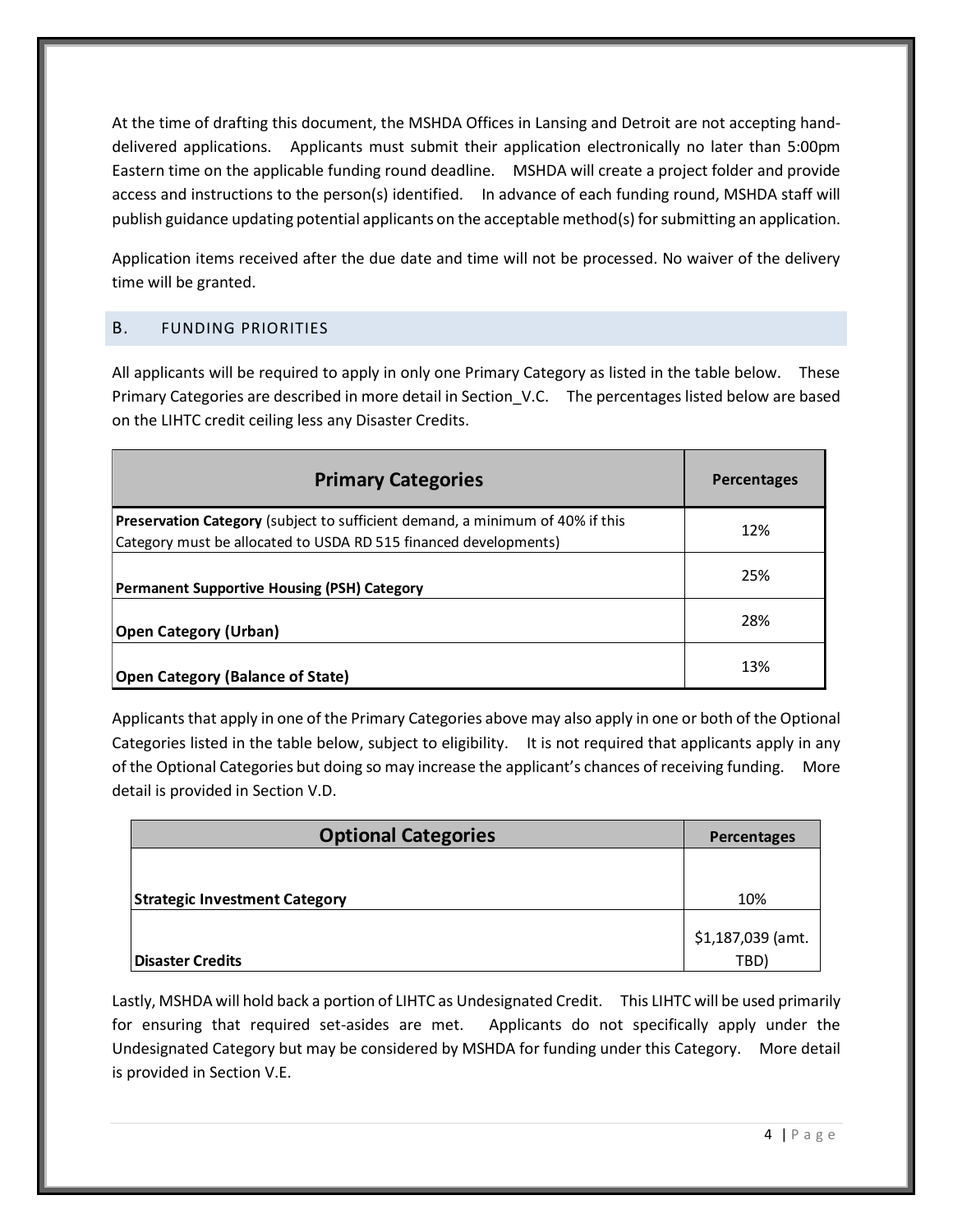At the time of drafting this document, the MSHDA Offices in Lansing and Detroit are not accepting handdelivered applications. Applicants must submit their application electronically no later than 5:00pm Eastern time on the applicable funding round deadline. MSHDA will create a project folder and provide access and instructions to the person(s) identified. In advance of each funding round, MSHDA staff will publish guidance updating potential applicants on the acceptable method(s) forsubmitting an application.

Application items received after the due date and time will not be processed. No waiver of the delivery time will be granted.

# <span id="page-8-0"></span>B. FUNDING PRIORITIES

All applicants will be required to apply in only one Primary Category as listed in the table below. These Primary Categories are described in more detail in Section\_V.C. The percentages listed below are based on the LIHTC credit ceiling less any Disaster Credits.

| <b>Primary Categories</b>                                                                                                                         | <b>Percentages</b> |
|---------------------------------------------------------------------------------------------------------------------------------------------------|--------------------|
| Preservation Category (subject to sufficient demand, a minimum of 40% if this<br>Category must be allocated to USDA RD 515 financed developments) | 12%                |
| <b>Permanent Supportive Housing (PSH) Category</b>                                                                                                | 25%                |
| <b>Open Category (Urban)</b>                                                                                                                      | 28%                |
| <b>Open Category (Balance of State)</b>                                                                                                           | 13%                |

Applicants that apply in one of the Primary Categories above may also apply in one or both of the Optional Categories listed in the table below, subject to eligibility. It is not required that applicants apply in any of the Optional Categories but doing so may increase the applicant's chances of receiving funding. More detail is provided in Section V.D.

| <b>Optional Categories</b>           | Percentages       |
|--------------------------------------|-------------------|
|                                      |                   |
| <b>Strategic Investment Category</b> | 10%               |
|                                      | \$1,187,039 (amt. |
| <b>Disaster Credits</b>              | TBD)              |

Lastly, MSHDA will hold back a portion of LIHTC as Undesignated Credit. This LIHTC will be used primarily for ensuring that required set-asides are met. Applicants do not specifically apply under the Undesignated Category but may be considered by MSHDA for funding under this Category. More detail is provided in Section V.E.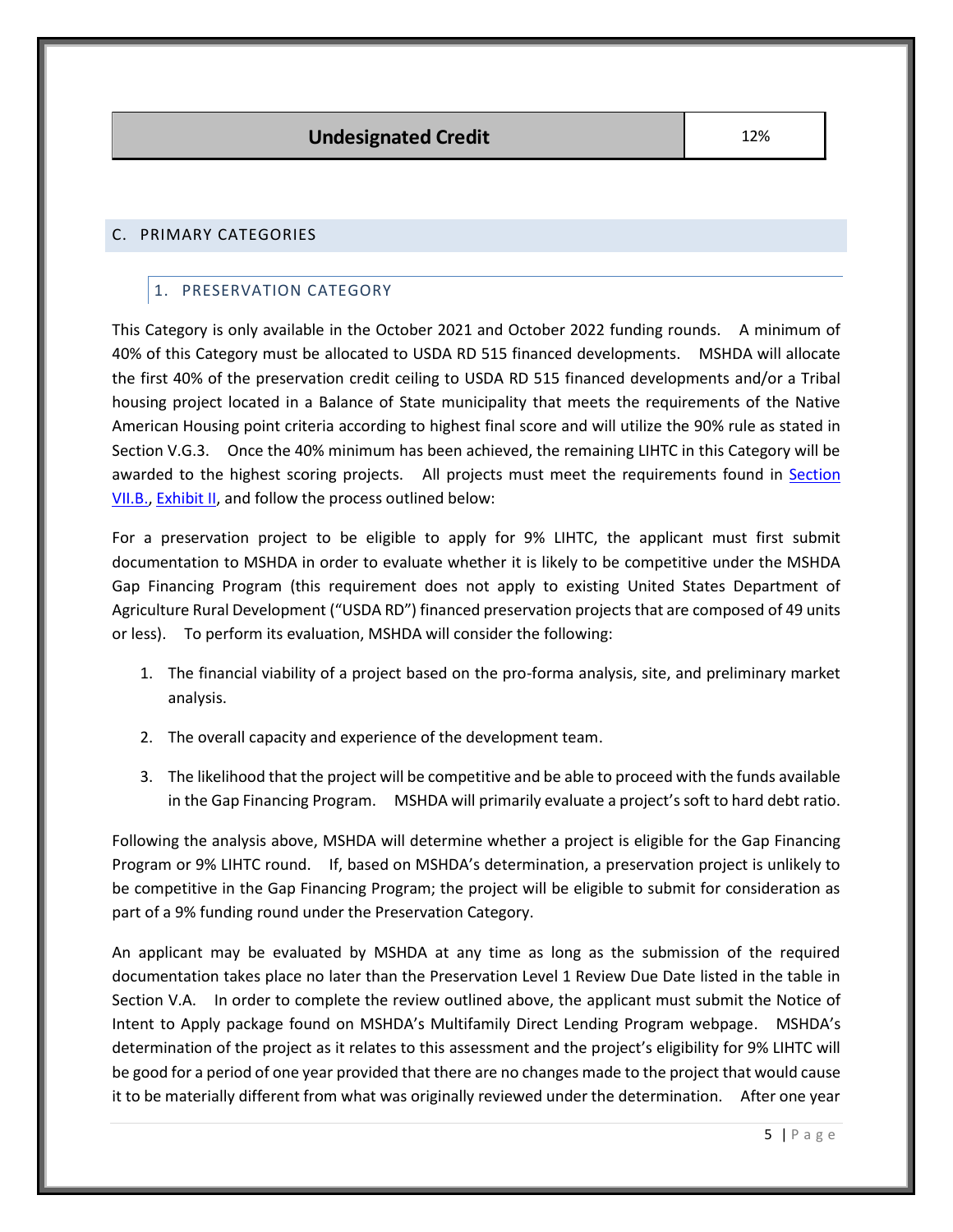## <span id="page-9-1"></span><span id="page-9-0"></span>C. PRIMARY CATEGORIES

# 1. PRESERVATION CATEGORY

This Category is only available in the October 2021 and October 2022 funding rounds. A minimum of 40% of this Category must be allocated to USDA RD 515 financed developments. MSHDA will allocate the first 40% of the preservation credit ceiling to USDA RD 515 financed developments and/or a Tribal housing project located in a Balance of State municipality that meets the requirements of the Native American Housing point criteria according to highest final score and will utilize the 90% rule as stated in Section V.G.3. Once the 40% minimum has been achieved, the remaining LIHTC in this Category will be awarded to the highest scoring projects. All projects must meet the requirements found in [Section](#page-14-3)  [VII.B.,](#page-14-3) [Exhibit II,](#page-26-4) and follow the process outlined below:

For a preservation project to be eligible to apply for 9% LIHTC, the applicant must first submit documentation to MSHDA in order to evaluate whether it is likely to be competitive under the MSHDA Gap Financing Program (this requirement does not apply to existing United States Department of Agriculture Rural Development ("USDA RD") financed preservation projects that are composed of 49 units or less). To perform its evaluation, MSHDA will consider the following:

- 1. The financial viability of a project based on the pro-forma analysis, site, and preliminary market analysis.
- 2. The overall capacity and experience of the development team.
- 3. The likelihood that the project will be competitive and be able to proceed with the funds available in the Gap Financing Program. MSHDA will primarily evaluate a project's soft to hard debt ratio.

Following the analysis above, MSHDA will determine whether a project is eligible for the Gap Financing Program or 9% LIHTC round. If, based on MSHDA's determination, a preservation project is unlikely to be competitive in the Gap Financing Program; the project will be eligible to submit for consideration as part of a 9% funding round under the Preservation Category.

An applicant may be evaluated by MSHDA at any time as long as the submission of the required documentation takes place no later than the Preservation Level 1 Review Due Date listed in the table in Section V.A. In order to complete the review outlined above, the applicant must submit the Notice of Intent to Apply package found on MSHDA's Multifamily Direct Lending Program webpage. MSHDA's determination of the project as it relates to this assessment and the project's eligibility for 9% LIHTC will be good for a period of one year provided that there are no changes made to the project that would cause it to be materially different from what was originally reviewed under the determination. After one year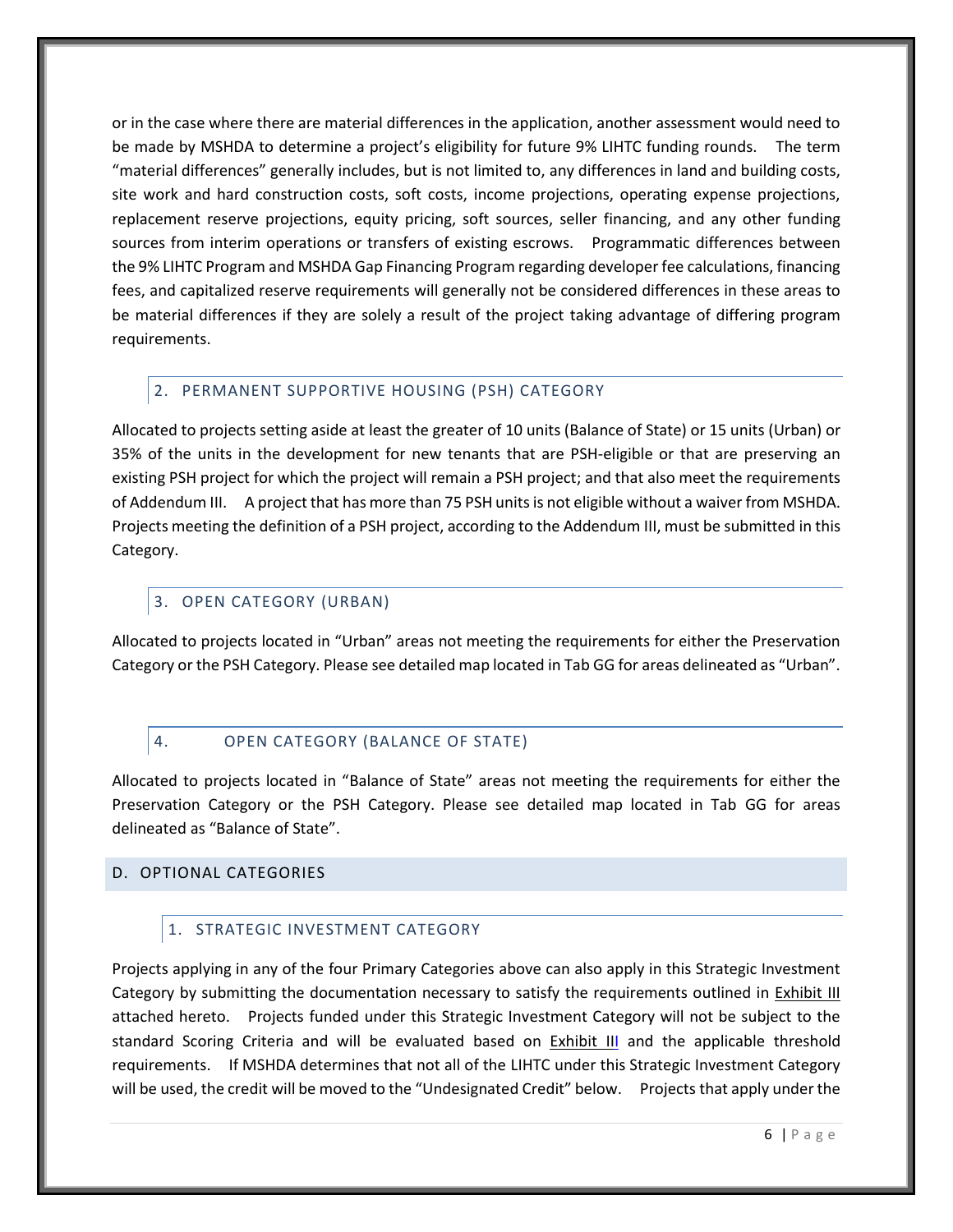or in the case where there are material differences in the application, another assessment would need to be made by MSHDA to determine a project's eligibility for future 9% LIHTC funding rounds. The term "material differences" generally includes, but is not limited to, any differences in land and building costs, site work and hard construction costs, soft costs, income projections, operating expense projections, replacement reserve projections, equity pricing, soft sources, seller financing, and any other funding sources from interim operations or transfers of existing escrows. Programmatic differences between the 9% LIHTC Program and MSHDA Gap Financing Program regarding developer fee calculations, financing fees, and capitalized reserve requirements will generally not be considered differences in these areas to be material differences if they are solely a result of the project taking advantage of differing program requirements.

## <span id="page-10-0"></span>2. PERMANENT SUPPORTIVE HOUSING (PSH) CATEGORY

Allocated to projects setting aside at least the greater of 10 units (Balance of State) or 15 units (Urban) or 35% of the units in the development for new tenants that are PSH-eligible or that are preserving an existing PSH project for which the project will remain a PSH project; and that also meet the requirements of Addendum III. A project that has more than 75 PSH units is not eligible without a waiver from MSHDA. Projects meeting the definition of a PSH project, according to the Addendum III, must be submitted in this Category.

## <span id="page-10-1"></span>3. OPEN CATEGORY (URBAN)

Allocated to projects located in "Urban" areas not meeting the requirements for either the Preservation Category or the PSH Category. Please see detailed map located in Tab GG for areas delineated as "Urban".

# <span id="page-10-2"></span>4. OPEN CATEGORY (BALANCE OF STATE)

Allocated to projects located in "Balance of State" areas not meeting the requirements for either the Preservation Category or the PSH Category. Please see detailed map located in Tab GG for areas delineated as "Balance of State".

## <span id="page-10-4"></span><span id="page-10-3"></span>D. OPTIONAL CATEGORIES

# 1. STRATEGIC INVESTMENT CATEGORY

Projects applying in any of the four Primary Categories above can also apply in this Strategic Investment Category by submitting the documentation necessary to satisfy the requirements outlined in [Exhibit III](#page-29-0) attached hereto. Projects funded under this Strategic Investment Category will not be subject to the standard Scoring Criteria and will be evaluated based on **[Exhibit III](#page-29-0)** and the applicable threshold requirements. If MSHDA determines that not all of the LIHTC under this Strategic Investment Category will be used, the credit will be moved to the "Undesignated Credit" below. Projects that apply under the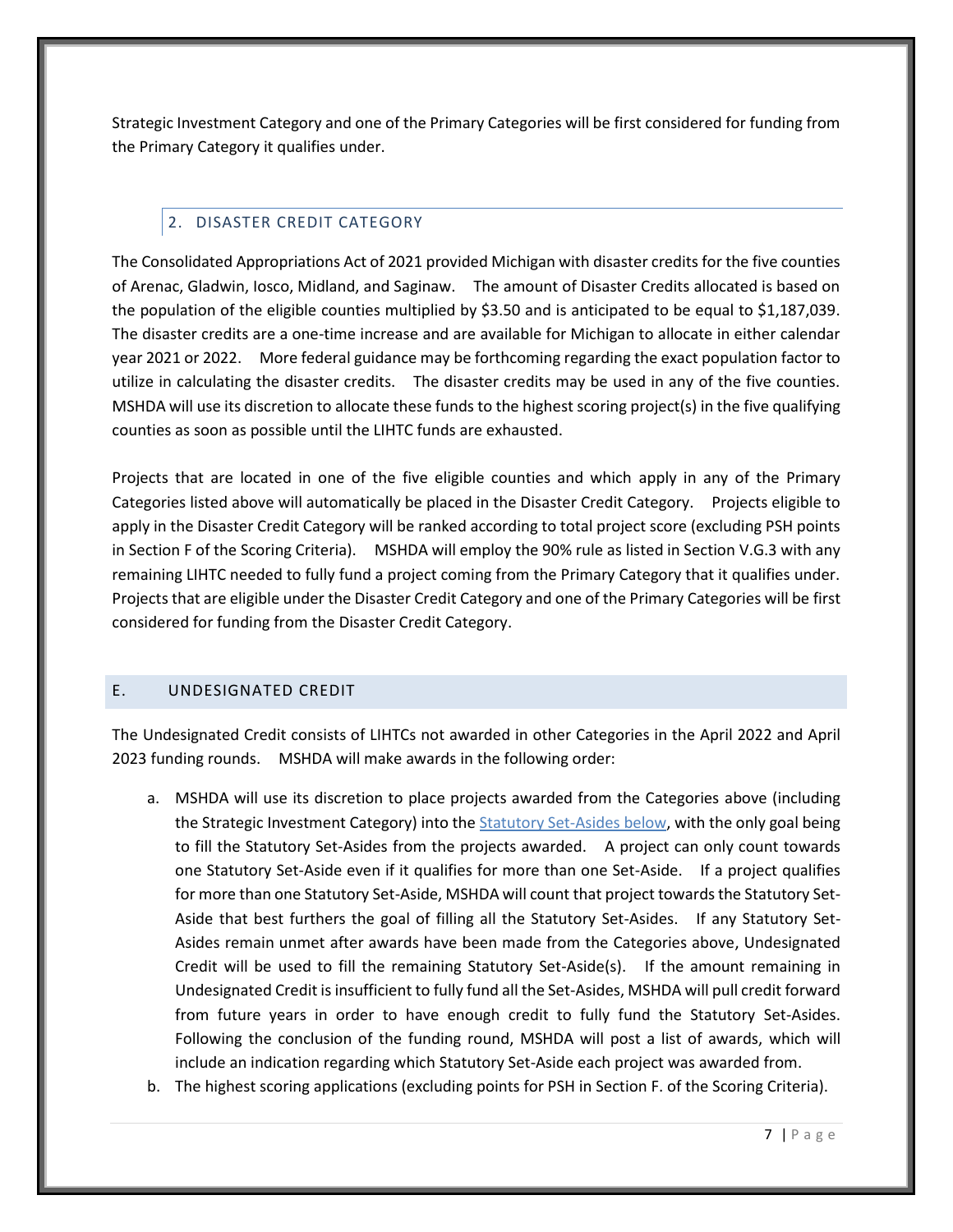Strategic Investment Category and one of the Primary Categories will be first considered for funding from the Primary Category it qualifies under.

# 2. DISASTER CREDIT CATEGORY

<span id="page-11-0"></span>The Consolidated Appropriations Act of 2021 provided Michigan with disaster credits for the five counties of Arenac, Gladwin, Iosco, Midland, and Saginaw. The amount of Disaster Credits allocated is based on the population of the eligible counties multiplied by \$3.50 and is anticipated to be equal to \$1,187,039. The disaster credits are a one-time increase and are available for Michigan to allocate in either calendar year 2021 or 2022. More federal guidance may be forthcoming regarding the exact population factor to utilize in calculating the disaster credits. The disaster credits may be used in any of the five counties. MSHDA will use its discretion to allocate these funds to the highest scoring project(s) in the five qualifying counties as soon as possible until the LIHTC funds are exhausted.

Projects that are located in one of the five eligible counties and which apply in any of the Primary Categories listed above will automatically be placed in the Disaster Credit Category. Projects eligible to apply in the Disaster Credit Category will be ranked according to total project score (excluding PSH points in Section F of the Scoring Criteria). MSHDA will employ the 90% rule as listed in Section V.G.3 with any remaining LIHTC needed to fully fund a project coming from the Primary Category that it qualifies under. Projects that are eligible under the Disaster Credit Category and one of the Primary Categories will be first considered for funding from the Disaster Credit Category.

# <span id="page-11-1"></span>E. UNDESIGNATED CREDIT

The Undesignated Credit consists of LIHTCs not awarded in other Categories in the April 2022 and April 2023 funding rounds. MSHDA will make awards in the following order:

- a. MSHDA will use its discretion to place projects awarded from the Categories above (including the Strategic Investment Category) into the [Statutory Set-Asides](#page-14-1) below, with the only goal being to fill the Statutory Set-Asides from the projects awarded. A project can only count towards one Statutory Set-Aside even if it qualifies for more than one Set-Aside. If a project qualifies for more than one Statutory Set-Aside, MSHDA will count that project towards the Statutory Set-Aside that best furthers the goal of filling all the Statutory Set-Asides. If any Statutory Set-Asides remain unmet after awards have been made from the Categories above, Undesignated Credit will be used to fill the remaining Statutory Set-Aside(s). If the amount remaining in Undesignated Credit is insufficient to fully fund all the Set-Asides, MSHDA will pull credit forward from future years in order to have enough credit to fully fund the Statutory Set-Asides. Following the conclusion of the funding round, MSHDA will post a list of awards, which will include an indication regarding which Statutory Set-Aside each project was awarded from.
- b. The highest scoring applications (excluding points for PSH in Section F. of the Scoring Criteria).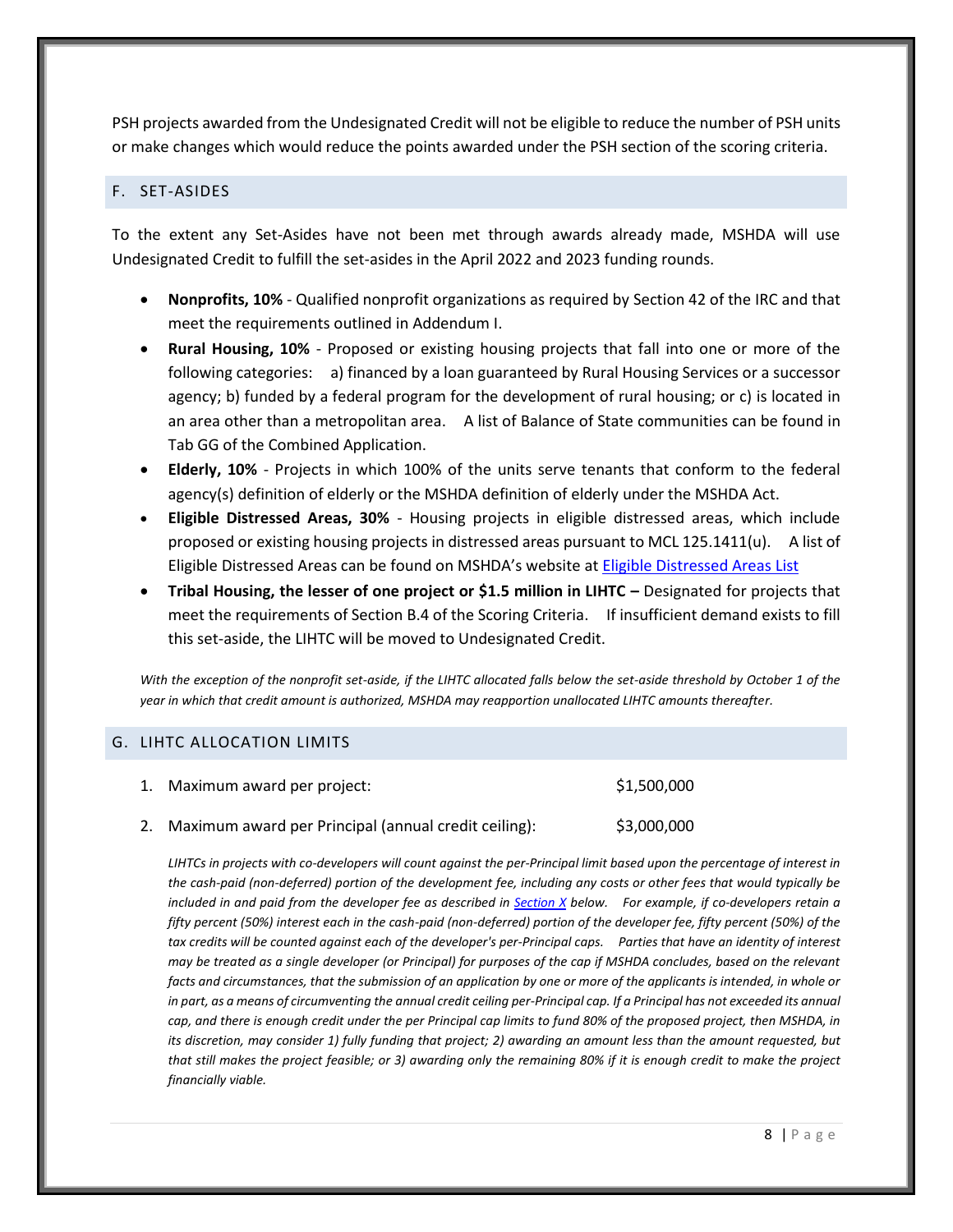PSH projects awarded from the Undesignated Credit will not be eligible to reduce the number of PSH units or make changes which would reduce the points awarded under the PSH section of the scoring criteria.

#### <span id="page-12-0"></span>F. SET-ASIDES

To the extent any Set-Asides have not been met through awards already made, MSHDA will use Undesignated Credit to fulfill the set-asides in the April 2022 and 2023 funding rounds.

- **Nonprofits, 10%** Qualified nonprofit organizations as required by Section 42 of the IRC and that meet the requirements outlined in Addendum I.
- **Rural Housing, 10%** Proposed or existing housing projects that fall into one or more of the following categories: a) financed by a loan guaranteed by Rural Housing Services or a successor agency; b) funded by a federal program for the development of rural housing; or c) is located in an area other than a metropolitan area. A list of Balance of State communities can be found in Tab GG of the Combined Application.
- **Elderly, 10%** Projects in which 100% of the units serve tenants that conform to the federal agency(s) definition of elderly or the MSHDA definition of elderly under the MSHDA Act.
- **Eligible Distressed Areas, 30%** Housing projects in eligible distressed areas, which include proposed or existing housing projects in distressed areas pursuant to MCL 125.1411(u). A list of Eligible Distressed Areas can be found on MSHDA's website at [Eligible Distressed Areas List](http://www.michigan.gov/documents/mshda/mshda_li_ca_17_tab_h_elig_dist_areas_183868_7.pdf)
- **•** Tribal Housing, the lesser of one project or \$1.5 million in LIHTC Designated for projects that meet the requirements of Section B.4 of the Scoring Criteria. If insufficient demand exists to fill this set-aside, the LIHTC will be moved to Undesignated Credit.

*With the exception of the nonprofit set-aside, if the LIHTC allocated falls below the set-aside threshold by October 1 of the year in which that credit amount is authorized, MSHDA may reapportion unallocated LIHTC amounts thereafter.*

## <span id="page-12-1"></span>G. LIHTC ALLOCATION LIMITS

| 1. Maximum award per project:                           | \$1,500,000 |
|---------------------------------------------------------|-------------|
| 2. Maximum award per Principal (annual credit ceiling): | \$3,000,000 |

*LIHTCs in projects with co-developers will count against the per-Principal limit based upon the percentage of interest in the cash-paid (non-deferred) portion of the development fee, including any costs or other fees that would typically be included in and paid from the developer fee as described in [Section X](#page-16-2) below. For example, if co-developers retain a fifty percent (50%) interest each in the cash-paid (non-deferred) portion of the developer fee, fifty percent (50%) of the tax credits will be counted against each of the developer's per-Principal caps. Parties that have an identity of interest may be treated as a single developer (or Principal) for purposes of the cap if MSHDA concludes, based on the relevant facts and circumstances, that the submission of an application by one or more of the applicants is intended, in whole or in part, as a means of circumventing the annual credit ceiling per-Principal cap. If a Principal has not exceeded its annual cap, and there is enough credit under the per Principal cap limits to fund 80% of the proposed project, then MSHDA, in its discretion, may consider 1) fully funding that project; 2) awarding an amount less than the amount requested, but that still makes the project feasible; or 3) awarding only the remaining 80% if it is enough credit to make the project financially viable.*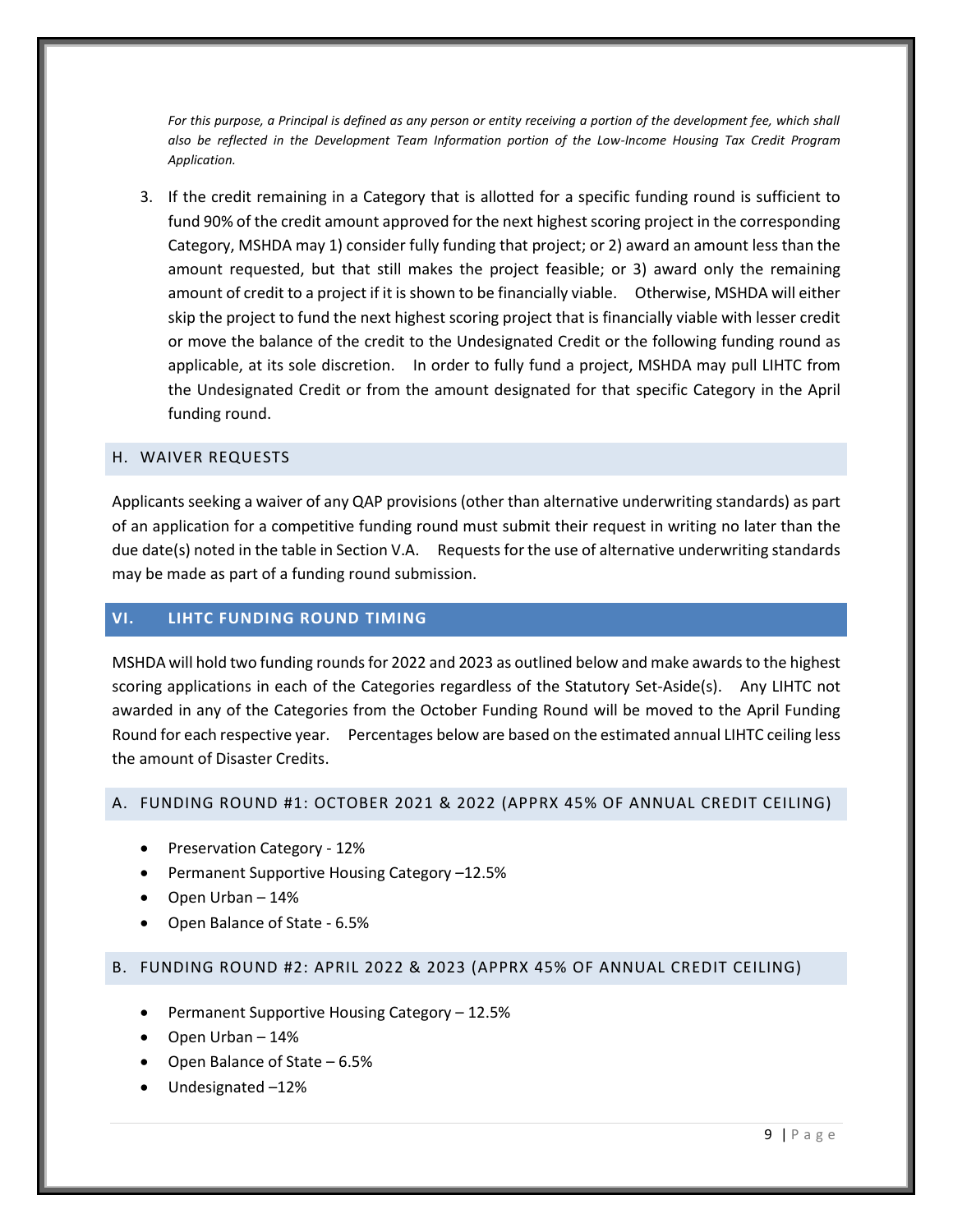For this purpose, a Principal is defined as any person or entity receiving a portion of the development fee, which shall *also be reflected in the Development Team Information portion of the Low-Income Housing Tax Credit Program Application.*

3. If the credit remaining in a Category that is allotted for a specific funding round is sufficient to fund 90% of the credit amount approved for the next highest scoring project in the corresponding Category, MSHDA may 1) consider fully funding that project; or 2) award an amount less than the amount requested, but that still makes the project feasible; or 3) award only the remaining amount of credit to a project if it is shown to be financially viable. Otherwise, MSHDA will either skip the project to fund the next highest scoring project that is financially viable with lesser credit or move the balance of the credit to the Undesignated Credit or the following funding round as applicable, at its sole discretion. In order to fully fund a project, MSHDA may pull LIHTC from the Undesignated Credit or from the amount designated for that specific Category in the April funding round.

#### <span id="page-13-0"></span>H. WAIVER REQUESTS

Applicants seeking a waiver of any QAP provisions (other than alternative underwriting standards) as part of an application for a competitive funding round must submit their request in writing no later than the due date(s) noted in the table in Section V.A. Requests for the use of alternative underwriting standards may be made as part of a funding round submission.

#### <span id="page-13-1"></span>**VI. LIHTC FUNDING ROUND TIMING**

MSHDA will hold two funding rounds for 2022 and 2023 as outlined below and make awards to the highest scoring applications in each of the Categories regardless of the Statutory Set-Aside(s). Any LIHTC not awarded in any of the Categories from the October Funding Round will be moved to the April Funding Round for each respective year. Percentages below are based on the estimated annual LIHTC ceiling less the amount of Disaster Credits.

#### <span id="page-13-2"></span>A. FUNDING ROUND #1: OCTOBER 2021 & 2022 (APPRX 45% OF ANNUAL CREDIT CEILING)

- Preservation Category 12%
- Permanent Supportive Housing Category –12.5%
- Open Urban 14%
- Open Balance of State 6.5%

#### <span id="page-13-3"></span>B. FUNDING ROUND #2: APRIL 2022 & 2023 (APPRX 45% OF ANNUAL CREDIT CEILING)

- Permanent Supportive Housing Category 12.5%
- Open Urban 14%
- Open Balance of State 6.5%
- Undesignated –12%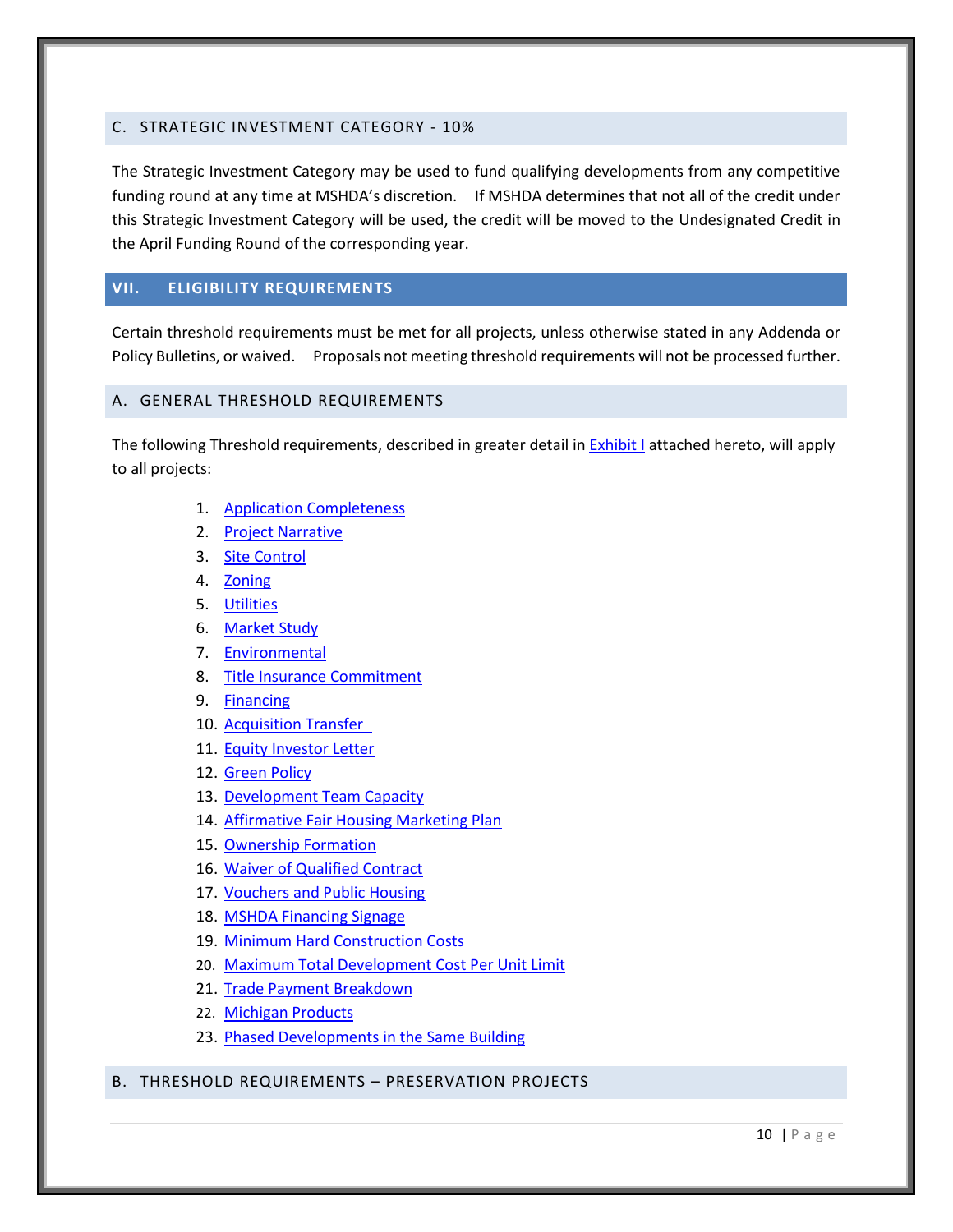## <span id="page-14-0"></span>C. STRATEGIC INVESTMENT CATEGORY - 10%

The Strategic Investment Category may be used to fund qualifying developments from any competitive funding round at any time at MSHDA's discretion. If MSHDA determines that not all of the credit under this Strategic Investment Category will be used, the credit will be moved to the Undesignated Credit in the April Funding Round of the corresponding year.

## <span id="page-14-1"></span>**VII. ELIGIBILITY REQUIREMENTS**

Certain threshold requirements must be met for all projects, unless otherwise stated in any Addenda or Policy Bulletins, or waived. Proposals not meeting threshold requirements will not be processed further.

## <span id="page-14-2"></span>A. GENERAL THRESHOLD REQUIREMENTS

The following Threshold requirements, described in greater detail i[n Exhibit I](#page-21-0) attached hereto, will apply to all projects:

- 1. [Application Completeness](#page-21-1)
- 2. [Project Narrative](#page-21-1)
- 3. [Site Control](#page-21-6)
- 4. [Zoning](#page-21-7)
- 5. [Utilities](#page-21-8)
- 6. [Market Study](#page-22-4)
- 7. [Environmental](#page-22-5)
- 8. [Title Insurance Commitment](#page-22-2)
- 9. [Financing](#page-22-6)
- 10. [Acquisition Transfer](#page-23-0)
- 11. [Equity Investor Letter](#page-23-3)
- 12. [Green Policy](#page-23-4)
- 13. [Development Team Capacity](#page-24-0)
- 14. [Affirmative Fair Housing Marketing Plan](#page-24-1)
- 15. [Ownership Formation](#page-25-0)
- 16. [Waiver of Qualified Contract](#page-25-5)
- 17. [Vouchers and Public Housing](#page-25-2)
- 18. [MSHDA Financing Signage](#page-25-3)
- 19. [Minimum Hard Construction Costs](#page-25-4)
- 20. Maximum Total Development Cost Per Unit Limit
- 21. Trade Payment Breakdown
- 22. [Michigan Products](#page-26-1)
- 23. [Phased Developments in the Same Building](#page-26-3)
- <span id="page-14-3"></span>B. THRESHOLD REQUIREMENTS – PRESERVATION PROJECTS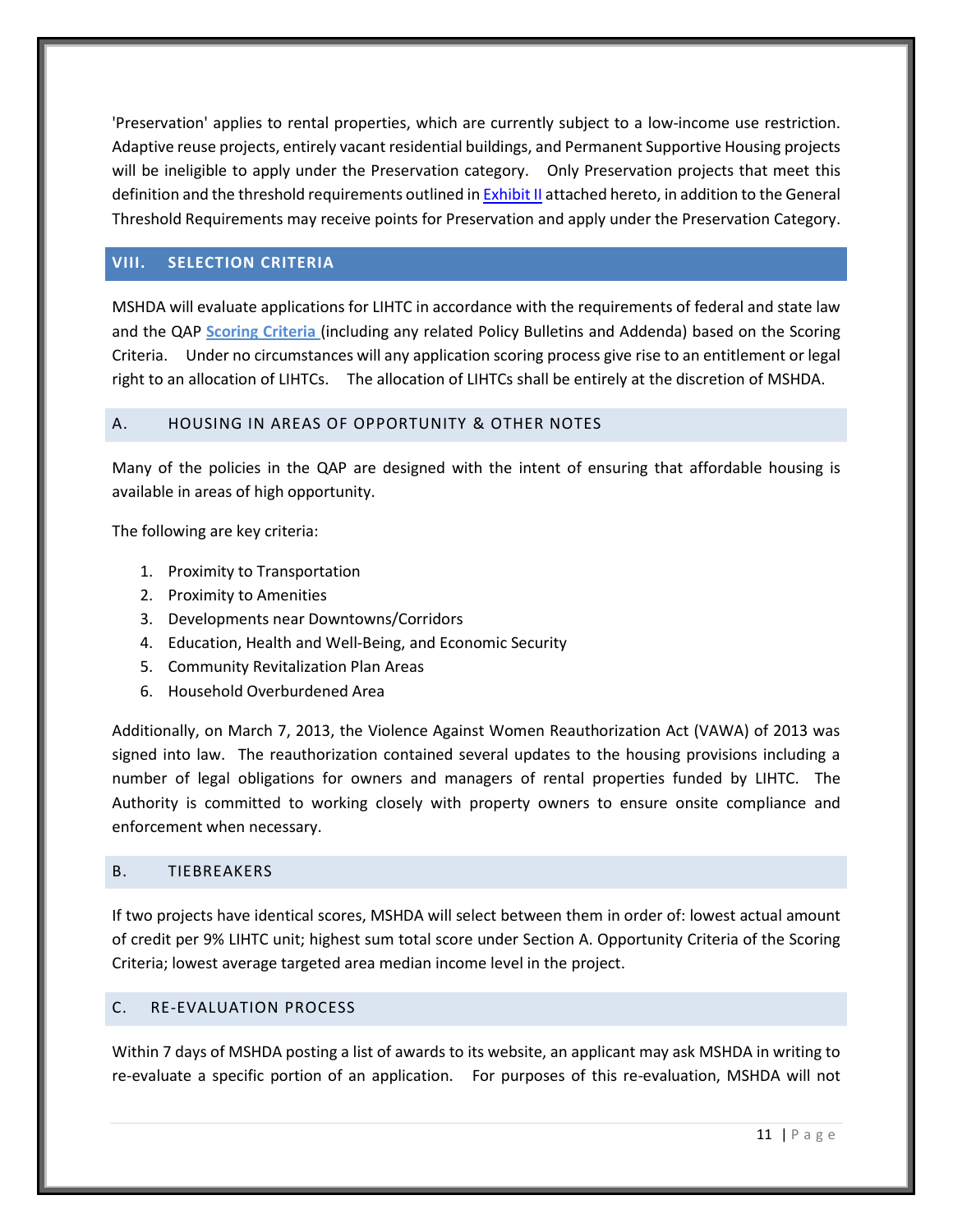'Preservation' applies to rental properties, which are currently subject to a low-income use restriction. Adaptive reuse projects, entirely vacant residential buildings, and Permanent Supportive Housing projects will be ineligible to apply under the Preservation category. Only Preservation projects that meet this definition and the threshold requirements outlined in **Exhibit II** attached hereto, in addition to the General Threshold Requirements may receive points for Preservation and apply under the Preservation Category.

#### <span id="page-15-0"></span>**VIII. SELECTION CRITERIA**

MSHDA will evaluate applications for LIHTC in accordance with the requirements of federal and state law and the QAP **Scoring Criteria** (including any related Policy Bulletins and Addenda) based on the Scoring Criteria. Under no circumstances will any application scoring process give rise to an entitlement or legal right to an allocation of LIHTCs. The allocation of LIHTCs shall be entirely at the discretion of MSHDA.

#### <span id="page-15-1"></span>A. HOUSING IN AREAS OF OPPORTUNITY & OTHER NOTES

Many of the policies in the QAP are designed with the intent of ensuring that affordable housing is available in areas of high opportunity.

The following are key criteria:

- 1. Proximity to Transportation
- 2. Proximity to Amenities
- 3. Developments near Downtowns/Corridors
- 4. Education, Health and Well-Being, and Economic Security
- 5. Community Revitalization Plan Areas
- 6. Household Overburdened Area

Additionally, on March 7, 2013, the Violence Against Women Reauthorization Act (VAWA) of 2013 was signed into law. The reauthorization contained several updates to the housing provisions including a number of legal obligations for owners and managers of rental properties funded by LIHTC. The Authority is committed to working closely with property owners to ensure onsite compliance and enforcement when necessary.

#### <span id="page-15-2"></span>B. TIEBREAKERS

If two projects have identical scores, MSHDA will select between them in order of: lowest actual amount of credit per 9% LIHTC unit; highest sum total score under Section A. Opportunity Criteria of the Scoring Criteria; lowest average targeted area median income level in the project.

#### <span id="page-15-3"></span>C. RE-EVALUATION PROCESS

Within 7 days of MSHDA posting a list of awards to its website, an applicant may ask MSHDA in writing to re-evaluate a specific portion of an application. For purposes of this re-evaluation, MSHDA will not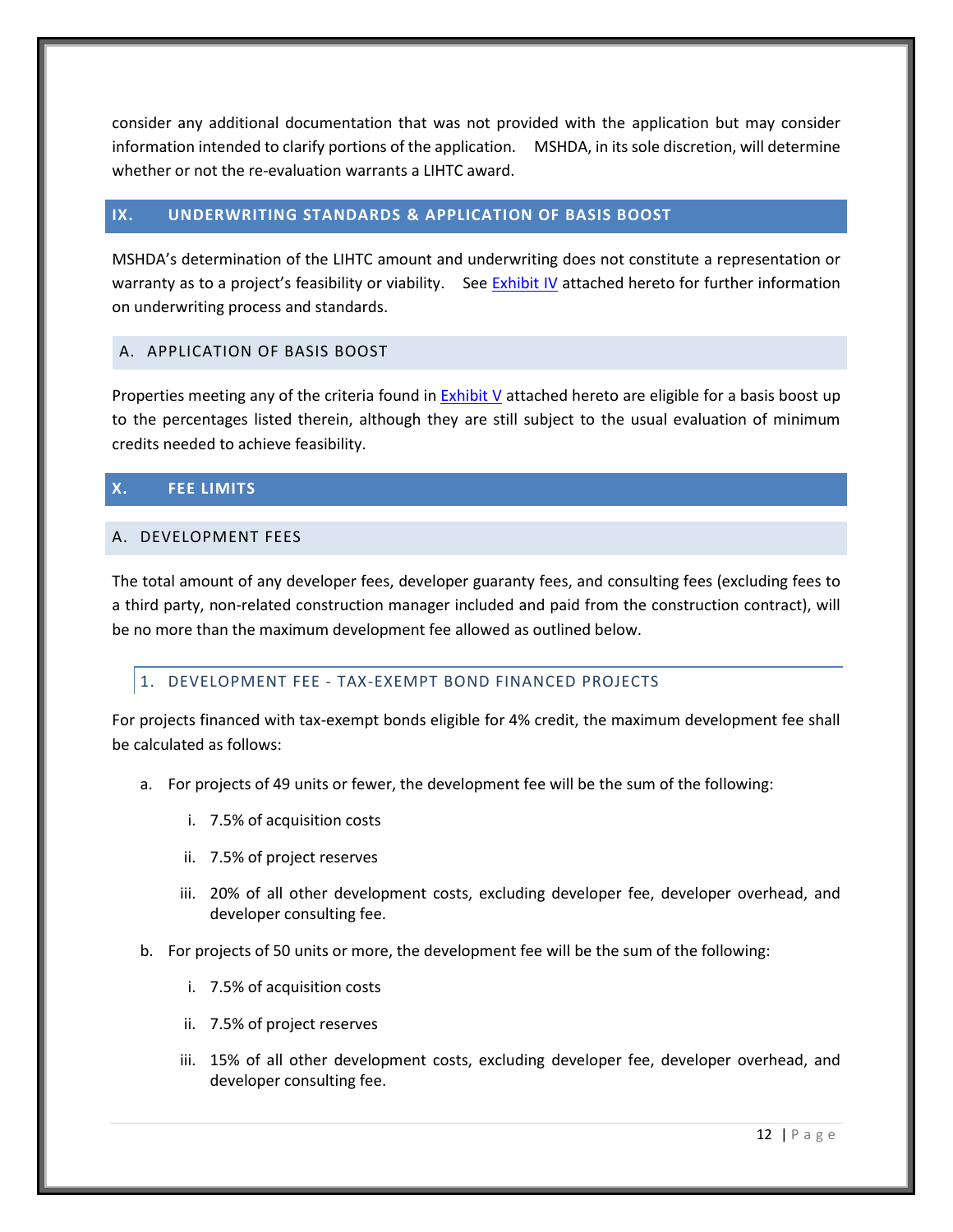consider any additional documentation that was not provided with the application but may consider information intended to clarify portions of the application. MSHDA, in its sole discretion, will determine whether or not the re-evaluation warrants a LIHTC award.

## <span id="page-16-0"></span>**IX. UNDERWRITING STANDARDS & APPLICATION OF BASIS BOOST**

MSHDA's determination of the LIHTC amount and underwriting does not constitute a representation or warranty as to a project's feasibility or viability. See **[Exhibit IV](#page-30-0)** attached hereto for further information on underwriting process and standards.

# <span id="page-16-1"></span>A. APPLICATION OF BASIS BOOST

Properties meeting any of the criteria found in [Exhibit V](#page-32-0) attached hereto are eligible for a basis boost up to the percentages listed therein, although they are still subject to the usual evaluation of minimum credits needed to achieve feasibility.

# <span id="page-16-2"></span>**X. FEE LIMITS**

## <span id="page-16-3"></span>A. DEVELOPMENT FEES

The total amount of any developer fees, developer guaranty fees, and consulting fees (excluding fees to a third party, non-related construction manager included and paid from the construction contract), will be no more than the maximum development fee allowed as outlined below.

## <span id="page-16-4"></span>1. DEVELOPMENT FEE - TAX-EXEMPT BOND FINANCED PROJECTS

For projects financed with tax-exempt bonds eligible for 4% credit, the maximum development fee shall be calculated as follows:

- a. For projects of 49 units or fewer, the development fee will be the sum of the following:
	- i. 7.5% of acquisition costs
	- ii. 7.5% of project reserves
	- iii. 20% of all other development costs, excluding developer fee, developer overhead, and developer consulting fee.
- b. For projects of 50 units or more, the development fee will be the sum of the following:
	- i. 7.5% of acquisition costs
	- ii. 7.5% of project reserves
	- iii. 15% of all other development costs, excluding developer fee, developer overhead, and developer consulting fee.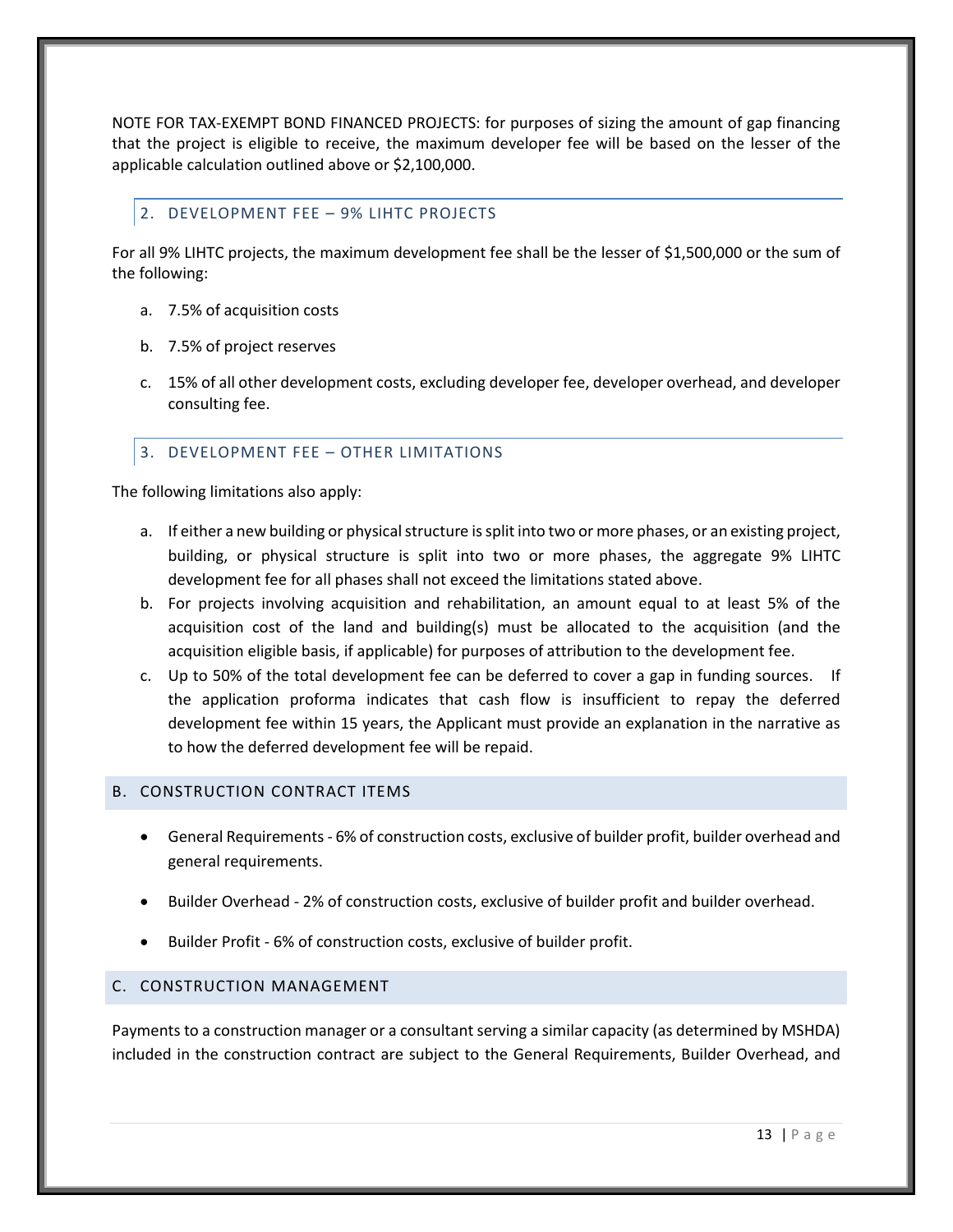NOTE FOR TAX-EXEMPT BOND FINANCED PROJECTS: for purposes of sizing the amount of gap financing that the project is eligible to receive, the maximum developer fee will be based on the lesser of the applicable calculation outlined above or \$2,100,000.

## <span id="page-17-0"></span>2. DEVELOPMENT FEE – 9% LIHTC PROJECTS

For all 9% LIHTC projects, the maximum development fee shall be the lesser of \$1,500,000 or the sum of the following:

- a. 7.5% of acquisition costs
- b. 7.5% of project reserves
- c. 15% of all other development costs, excluding developer fee, developer overhead, and developer consulting fee.

# <span id="page-17-1"></span>3. DEVELOPMENT FEE – OTHER LIMITATIONS

The following limitations also apply:

- a. If either a new building or physical structure is split into two or more phases, or an existing project, building, or physical structure is split into two or more phases, the aggregate 9% LIHTC development fee for all phases shall not exceed the limitations stated above.
- b. For projects involving acquisition and rehabilitation, an amount equal to at least 5% of the acquisition cost of the land and building(s) must be allocated to the acquisition (and the acquisition eligible basis, if applicable) for purposes of attribution to the development fee.
- c. Up to 50% of the total development fee can be deferred to cover a gap in funding sources. If the application proforma indicates that cash flow is insufficient to repay the deferred development fee within 15 years, the Applicant must provide an explanation in the narrative as to how the deferred development fee will be repaid.

## <span id="page-17-2"></span>B. CONSTRUCTION CONTRACT ITEMS

- General Requirements 6% of construction costs, exclusive of builder profit, builder overhead and general requirements.
- Builder Overhead 2% of construction costs, exclusive of builder profit and builder overhead.
- Builder Profit 6% of construction costs, exclusive of builder profit.

## <span id="page-17-3"></span>C. CONSTRUCTION MANAGEMENT

Payments to a construction manager or a consultant serving a similar capacity (as determined by MSHDA) included in the construction contract are subject to the General Requirements, Builder Overhead, and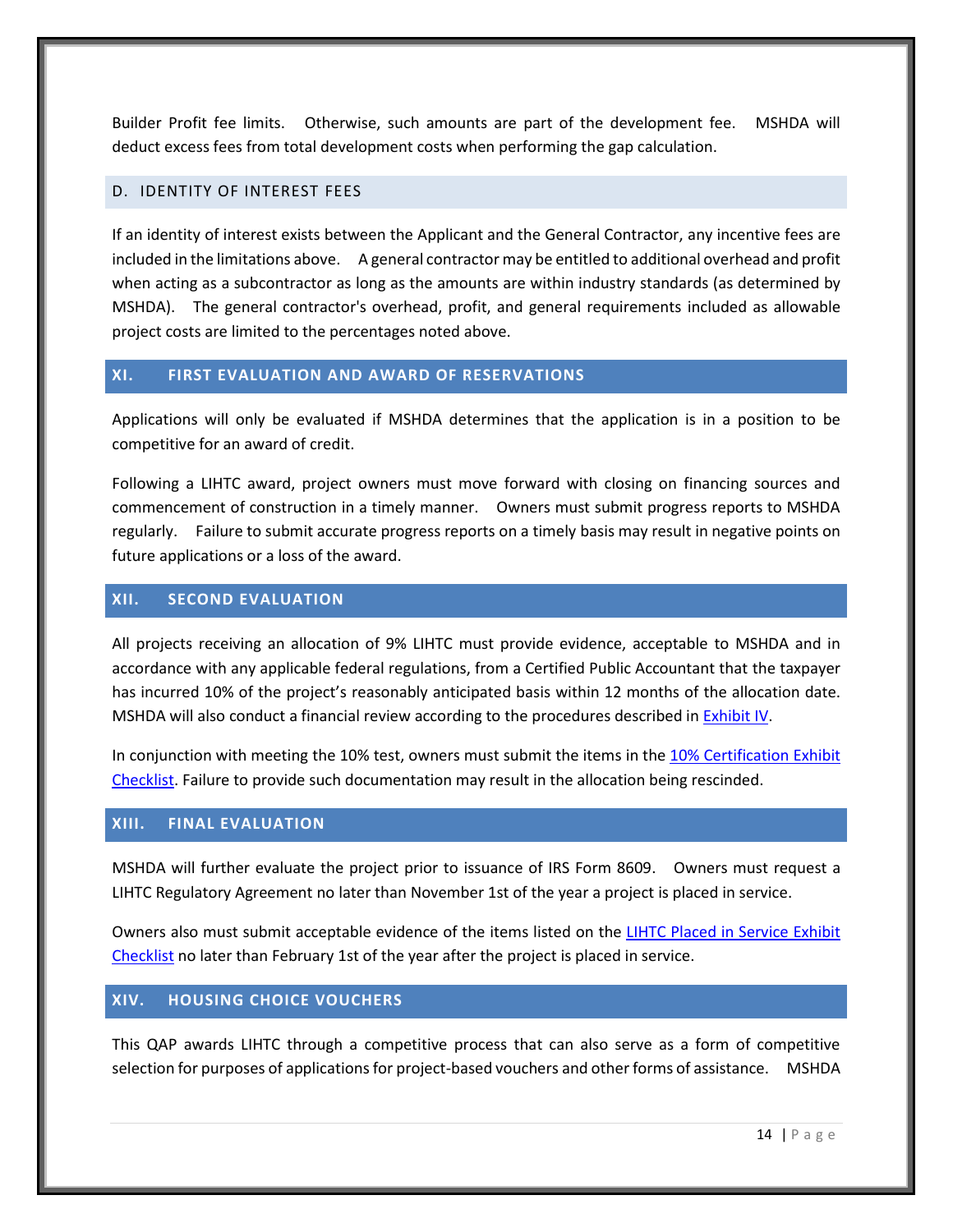Builder Profit fee limits. Otherwise, such amounts are part of the development fee. MSHDA will deduct excess fees from total development costs when performing the gap calculation.

#### <span id="page-18-0"></span>D. IDENTITY OF INTEREST FEES

If an identity of interest exists between the Applicant and the General Contractor, any incentive fees are included in the limitations above. A general contractor may be entitled to additional overhead and profit when acting as a subcontractor as long as the amounts are within industry standards (as determined by MSHDA). The general contractor's overhead, profit, and general requirements included as allowable project costs are limited to the percentages noted above.

## <span id="page-18-1"></span>**XI. FIRST EVALUATION AND AWARD OF RESERVATIONS**

Applications will only be evaluated if MSHDA determines that the application is in a position to be competitive for an award of credit.

Following a LIHTC award, project owners must move forward with closing on financing sources and commencement of construction in a timely manner. Owners must submit progress reports to MSHDA regularly. Failure to submit accurate progress reports on a timely basis may result in negative points on future applications or a loss of the award.

## <span id="page-18-2"></span>**XII. SECOND EVALUATION**

All projects receiving an allocation of 9% LIHTC must provide evidence, acceptable to MSHDA and in accordance with any applicable federal regulations, from a Certified Public Accountant that the taxpayer has incurred 10% of the project's reasonably anticipated basis within 12 months of the allocation date. MSHDA will also conduct a financial review according to the procedures described in [Exhibit IV.](#page-30-0)

In conjunction with meeting the 10% test, owners must submit the items in the [10% Certification](http://www.michigan.gov/mshda/0,4641,7-141-5587_5601-134725--,00.html) Exhibit [Checklist.](http://www.michigan.gov/mshda/0,4641,7-141-5587_5601-134725--,00.html) Failure to provide such documentation may result in the allocation being rescinded.

## <span id="page-18-3"></span>**XIII. FINAL EVALUATION**

MSHDA will further evaluate the project prior to issuance of IRS Form 8609. Owners must request a LIHTC Regulatory Agreement no later than November 1st of the year a project is placed in service.

Owners also must submit acceptable evidence of the items listed on the [LIHTC Placed in Service Exhibit](http://www.michigan.gov/mshda/0,4641,7-141-5587_5601-134727--,00.html)  [Checklist](http://www.michigan.gov/mshda/0,4641,7-141-5587_5601-134727--,00.html) no later than February 1st of the year after the project is placed in service.

## <span id="page-18-4"></span>**XIV. HOUSING CHOICE VOUCHERS**

This QAP awards LIHTC through a competitive process that can also serve as a form of competitive selection for purposes of applications for project-based vouchers and other forms of assistance. MSHDA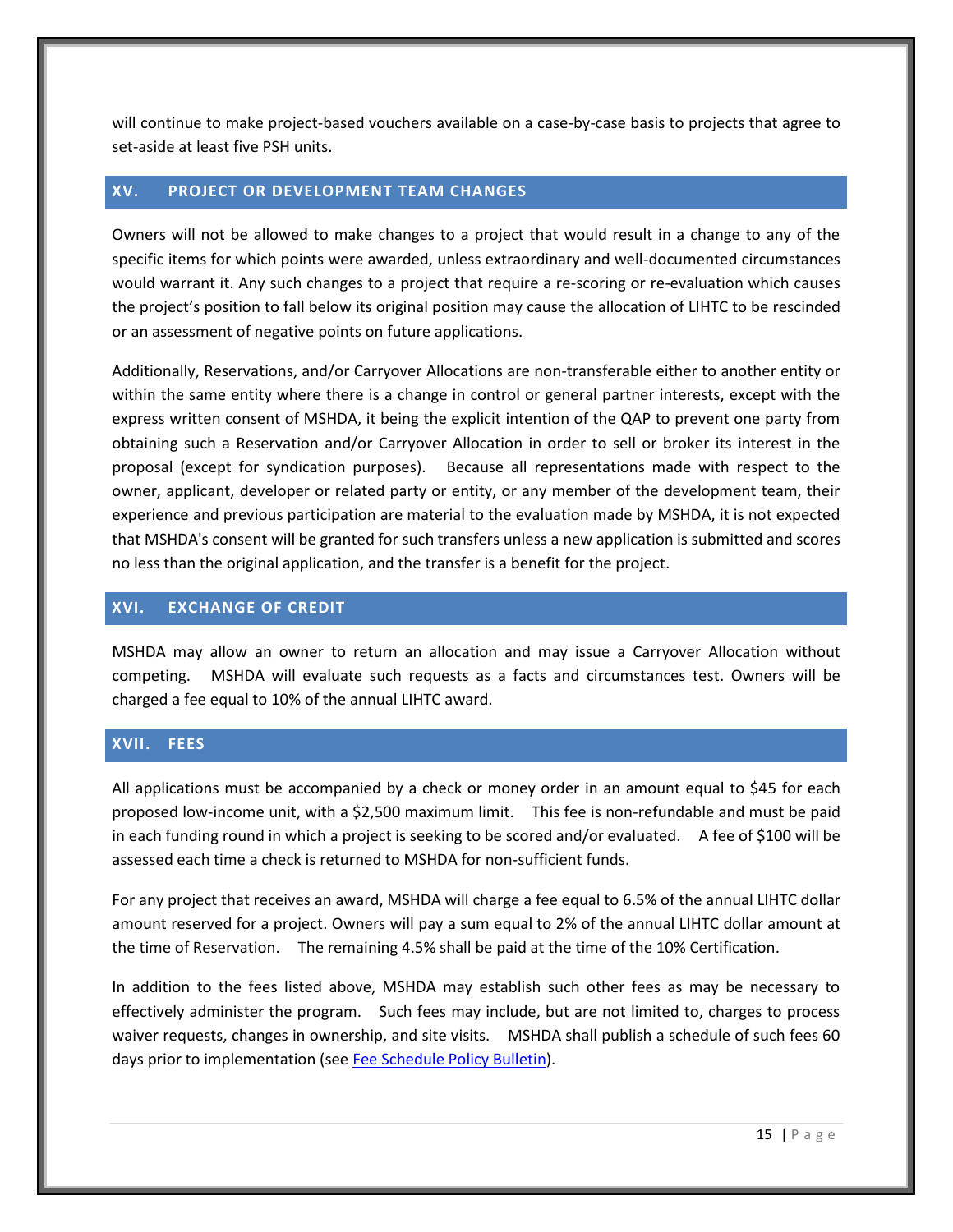will continue to make project-based vouchers available on a case-by-case basis to projects that agree to set-aside at least five PSH units.

#### <span id="page-19-0"></span>**XV. PROJECT OR DEVELOPMENT TEAM CHANGES**

Owners will not be allowed to make changes to a project that would result in a change to any of the specific items for which points were awarded, unless extraordinary and well-documented circumstances would warrant it. Any such changes to a project that require a re-scoring or re-evaluation which causes the project's position to fall below its original position may cause the allocation of LIHTC to be rescinded or an assessment of negative points on future applications.

Additionally, Reservations, and/or Carryover Allocations are non-transferable either to another entity or within the same entity where there is a change in control or general partner interests, except with the express written consent of MSHDA, it being the explicit intention of the QAP to prevent one party from obtaining such a Reservation and/or Carryover Allocation in order to sell or broker its interest in the proposal (except for syndication purposes). Because all representations made with respect to the owner, applicant, developer or related party or entity, or any member of the development team, their experience and previous participation are material to the evaluation made by MSHDA, it is not expected that MSHDA's consent will be granted for such transfers unless a new application is submitted and scores no less than the original application, and the transfer is a benefit for the project.

## <span id="page-19-1"></span>**XVI. EXCHANGE OF CREDIT**

MSHDA may allow an owner to return an allocation and may issue a Carryover Allocation without competing. MSHDA will evaluate such requests as a facts and circumstances test. Owners will be charged a fee equal to 10% of the annual LIHTC award.

## <span id="page-19-2"></span>**XVII. FEES**

All applications must be accompanied by a check or money order in an amount equal to \$45 for each proposed low-income unit, with a \$2,500 maximum limit. This fee is non-refundable and must be paid in each funding round in which a project is seeking to be scored and/or evaluated. A fee of \$100 will be assessed each time a check is returned to MSHDA for non-sufficient funds.

For any project that receives an award, MSHDA will charge a fee equal to 6.5% of the annual LIHTC dollar amount reserved for a project. Owners will pay a sum equal to 2% of the annual LIHTC dollar amount at the time of Reservation. The remaining 4.5% shall be paid at the time of the 10% Certification.

In addition to the fees listed above, MSHDA may establish such other fees as may be necessary to effectively administer the program. Such fees may include, but are not limited to, charges to process waiver requests, changes in ownership, and site visits. MSHDA shall publish a schedule of such fees 60 days prior to implementation (se[e Fee Schedule Policy Bulletin\)](http://www.michigan.gov/documents/mshda/mshda_li_ca_32_tab_w_lihtc_policy_bulletins_183888_7.pdf).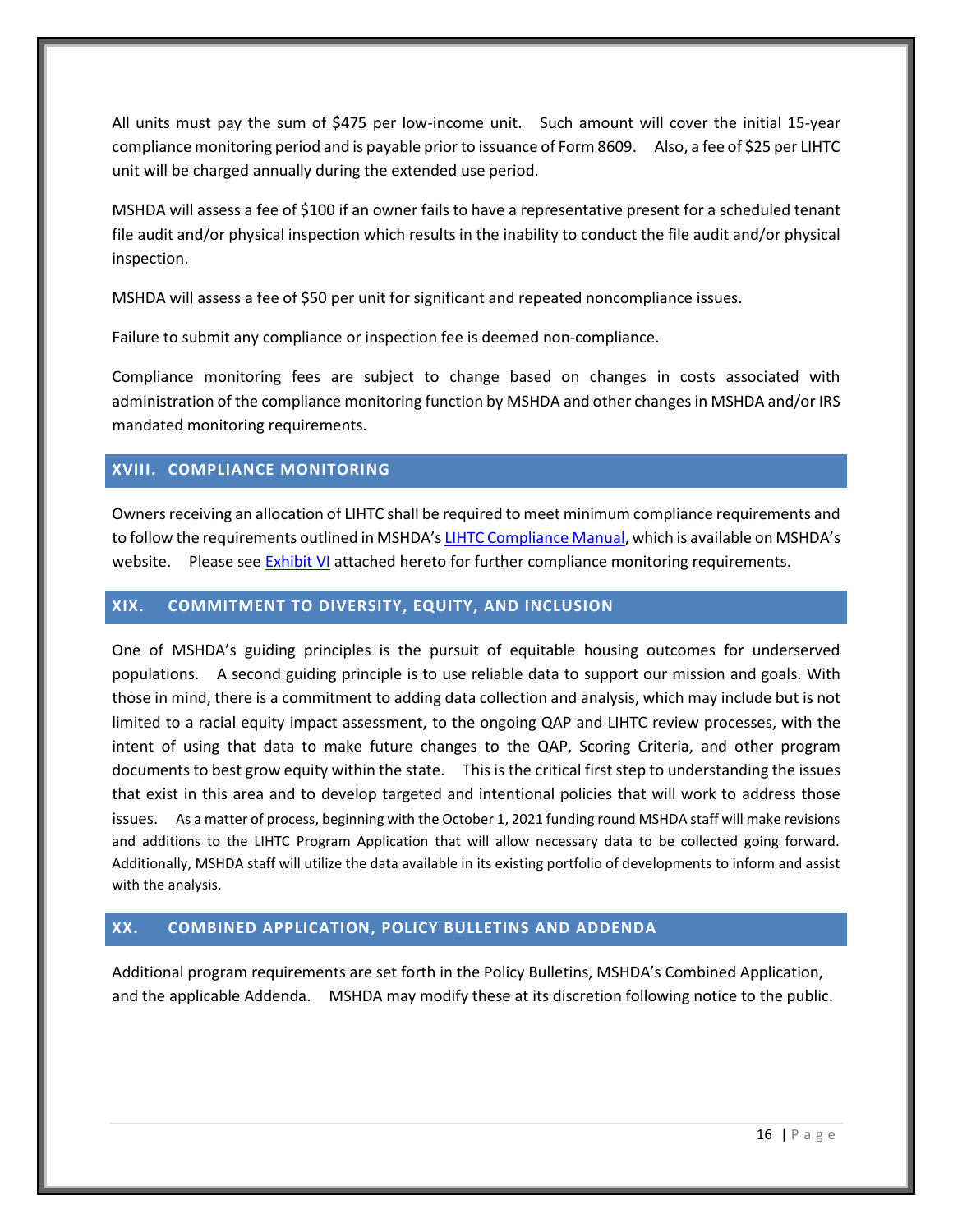All units must pay the sum of \$475 per low-income unit. Such amount will cover the initial 15-year compliance monitoring period and is payable prior to issuance of Form 8609. Also, a fee of \$25 per LIHTC unit will be charged annually during the extended use period.

MSHDA will assess a fee of \$100 if an owner fails to have a representative present for a scheduled tenant file audit and/or physical inspection which results in the inability to conduct the file audit and/or physical inspection.

MSHDA will assess a fee of \$50 per unit for significant and repeated noncompliance issues.

Failure to submit any compliance or inspection fee is deemed non-compliance.

Compliance monitoring fees are subject to change based on changes in costs associated with administration of the compliance monitoring function by MSHDA and other changes in MSHDA and/or IRS mandated monitoring requirements.

## <span id="page-20-0"></span>**XVIII. COMPLIANCE MONITORING**

Owners receiving an allocation of LIHTC shall be required to meet minimum compliance requirements and to follow the requirements outlined in MSHDA's [LIHTC Compliance Manual,](http://www.michigan.gov/mshda/0,4641,7-141-8002_26576_26578---,00.html) which is available on MSHDA's website. Please see [Exhibit VI](#page-33-0) attached hereto for further compliance monitoring requirements.

## <span id="page-20-1"></span>**XIX. COMMITMENT TO DIVERSITY, EQUITY, AND INCLUSION**

One of MSHDA's guiding principles is the pursuit of equitable housing outcomes for underserved populations. A second guiding principle is to use reliable data to support our mission and goals. With those in mind, there is a commitment to adding data collection and analysis, which may include but is not limited to a racial equity impact assessment, to the ongoing QAP and LIHTC review processes, with the intent of using that data to make future changes to the QAP, Scoring Criteria, and other program documents to best grow equity within the state. This is the critical first step to understanding the issues that exist in this area and to develop targeted and intentional policies that will work to address those issues. As a matter of process, beginning with the October 1, 2021 funding round MSHDA staff will make revisions and additions to the LIHTC Program Application that will allow necessary data to be collected going forward. Additionally, MSHDA staff will utilize the data available in its existing portfolio of developments to inform and assist with the analysis.

## <span id="page-20-2"></span>**XX. COMBINED APPLICATION, POLICY BULLETINS AND ADDENDA**

Additional program requirements are set forth in the Policy Bulletins, MSHDA's Combined Application, and the applicable Addenda. MSHDA may modify these at its discretion following notice to the public.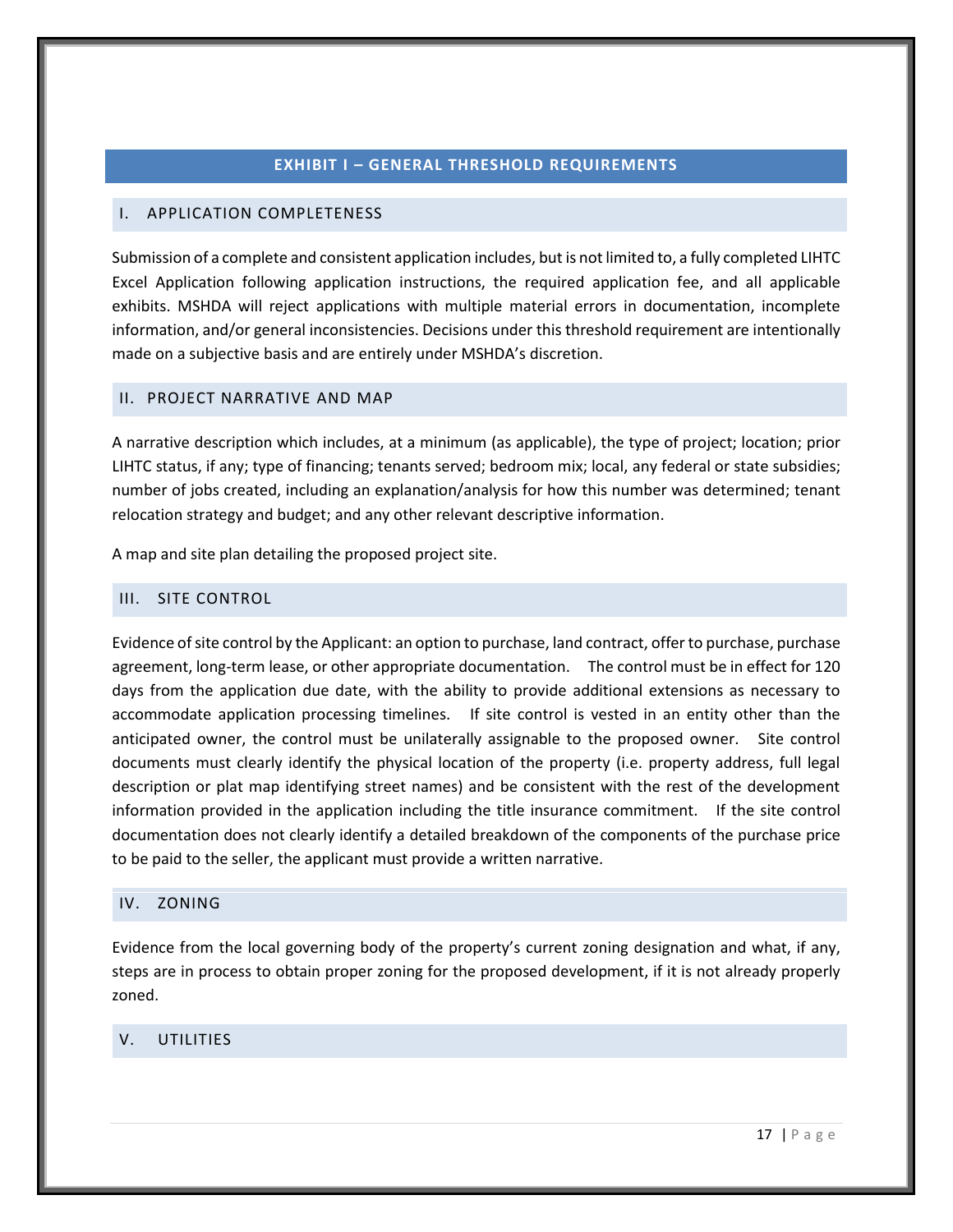#### **EXHIBIT I – GENERAL THRESHOLD REQUIREMENTS**

## <span id="page-21-1"></span><span id="page-21-0"></span>I. APPLICATION COMPLETENESS

Submission of a complete and consistent application includes, but is not limited to, a fully completed LIHTC Excel Application following application instructions, the required application fee, and all applicable exhibits. MSHDA will reject applications with multiple material errors in documentation, incomplete information, and/or general inconsistencies. Decisions under this threshold requirement are intentionally made on a subjective basis and are entirely under MSHDA's discretion.

#### <span id="page-21-2"></span>II. PROJECT NARRATIVE AND MAP

A narrative description which includes, at a minimum (as applicable), the type of project; location; prior LIHTC status, if any; type of financing; tenants served; bedroom mix; local, any federal or state subsidies; number of jobs created, including an explanation/analysis for how this number was determined; tenant relocation strategy and budget; and any other relevant descriptive information.

A map and site plan detailing the proposed project site.

#### <span id="page-21-6"></span><span id="page-21-3"></span>III. SITE CONTROL

Evidence of site control by the Applicant: an option to purchase, land contract, offer to purchase, purchase agreement, long-term lease, or other appropriate documentation. The control must be in effect for 120 days from the application due date, with the ability to provide additional extensions as necessary to accommodate application processing timelines. If site control is vested in an entity other than the anticipated owner, the control must be unilaterally assignable to the proposed owner. Site control documents must clearly identify the physical location of the property (i.e. property address, full legal description or plat map identifying street names) and be consistent with the rest of the development information provided in the application including the title insurance commitment. If the site control documentation does not clearly identify a detailed breakdown of the components of the purchase price to be paid to the seller, the applicant must provide a written narrative.

#### <span id="page-21-7"></span><span id="page-21-4"></span>IV. ZONING

Evidence from the local governing body of the property's current zoning designation and what, if any, steps are in process to obtain proper zoning for the proposed development, if it is not already properly zoned.

## <span id="page-21-8"></span><span id="page-21-5"></span>V. UTILITIES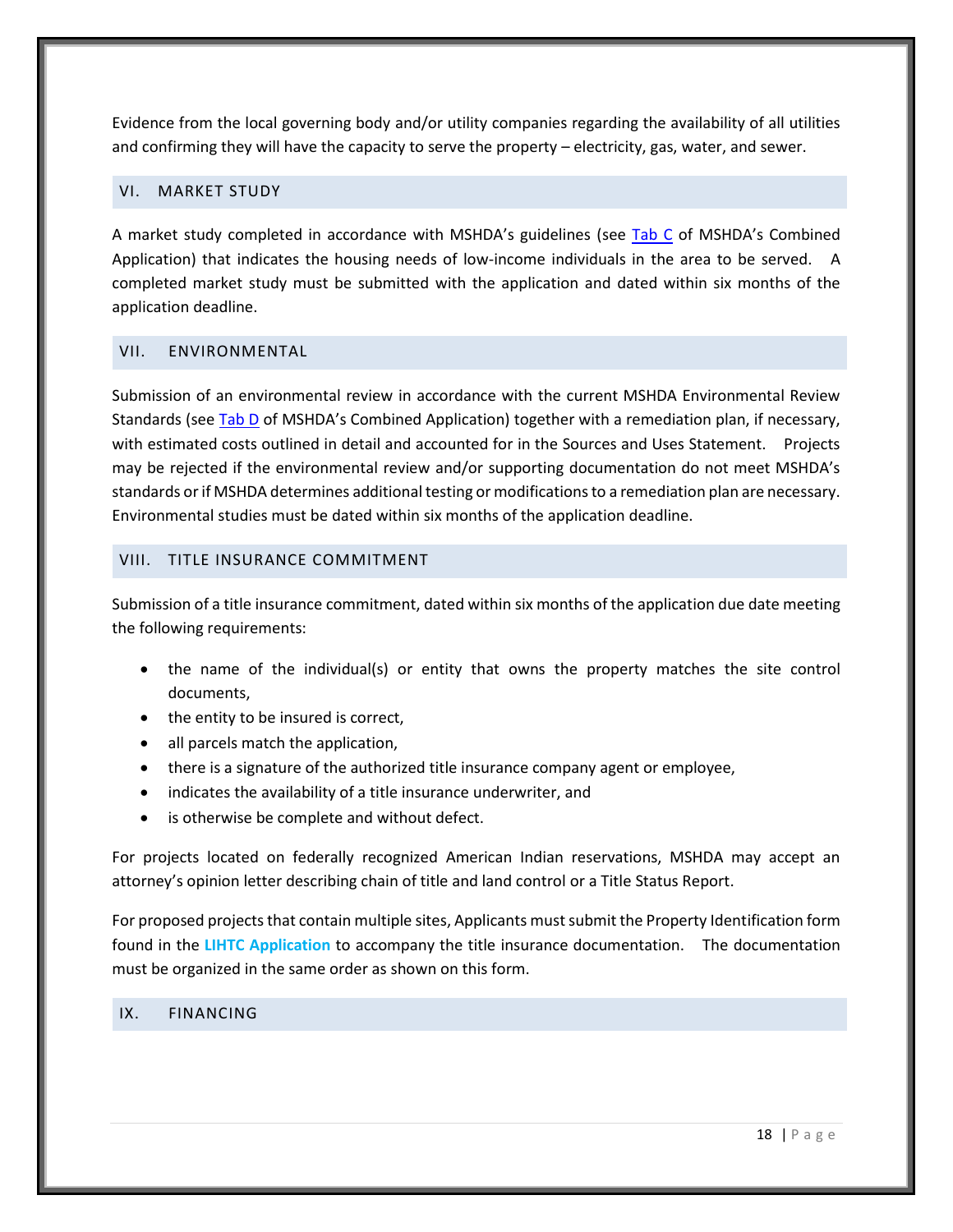Evidence from the local governing body and/or utility companies regarding the availability of all utilities and confirming they will have the capacity to serve the property – electricity, gas, water, and sewer.

#### <span id="page-22-4"></span><span id="page-22-0"></span>VI. MARKET STUDY

A market study completed in accordance with MSHDA's guidelines (see [Tab C](http://www.michigan.gov/mshda/0,4641,7-141-5587_5601-60010--,00.html) of MSHDA's Combined Application) that indicates the housing needs of low-income individuals in the area to be served. A completed market study must be submitted with the application and dated within six months of the application deadline.

## <span id="page-22-5"></span><span id="page-22-1"></span>VII. ENVIRONMENTAL

Submission of an environmental review in accordance with the current MSHDA Environmental Review Standards (se[e Tab D](http://www.michigan.gov/mshda/0,4641,7-141-5587_5601-60010--,00.html) of MSHDA's Combined Application) together with a remediation plan, if necessary, with estimated costs outlined in detail and accounted for in the Sources and Uses Statement. Projects may be rejected if the environmental review and/or supporting documentation do not meet MSHDA's standards or if MSHDA determines additional testing or modifications to a remediation plan are necessary. Environmental studies must be dated within six months of the application deadline.

#### <span id="page-22-2"></span>VIII. TITLE INSURANCE COMMITMENT

Submission of a title insurance commitment, dated within six months of the application due date meeting the following requirements:

- the name of the individual(s) or entity that owns the property matches the site control documents,
- the entity to be insured is correct,
- all parcels match the application,
- there is a signature of the authorized title insurance company agent or employee,
- indicates the availability of a title insurance underwriter, and
- is otherwise be complete and without defect.

For projects located on federally recognized American Indian reservations, MSHDA may accept an attorney's opinion letter describing chain of title and land control or a Title Status Report.

For proposed projects that contain multiple sites, Applicants must submit the Property Identification form found in the **LIHTC Application** to accompany the title insurance documentation. The documentation must be organized in the same order as shown on this form.

#### <span id="page-22-6"></span><span id="page-22-3"></span>IX. FINANCING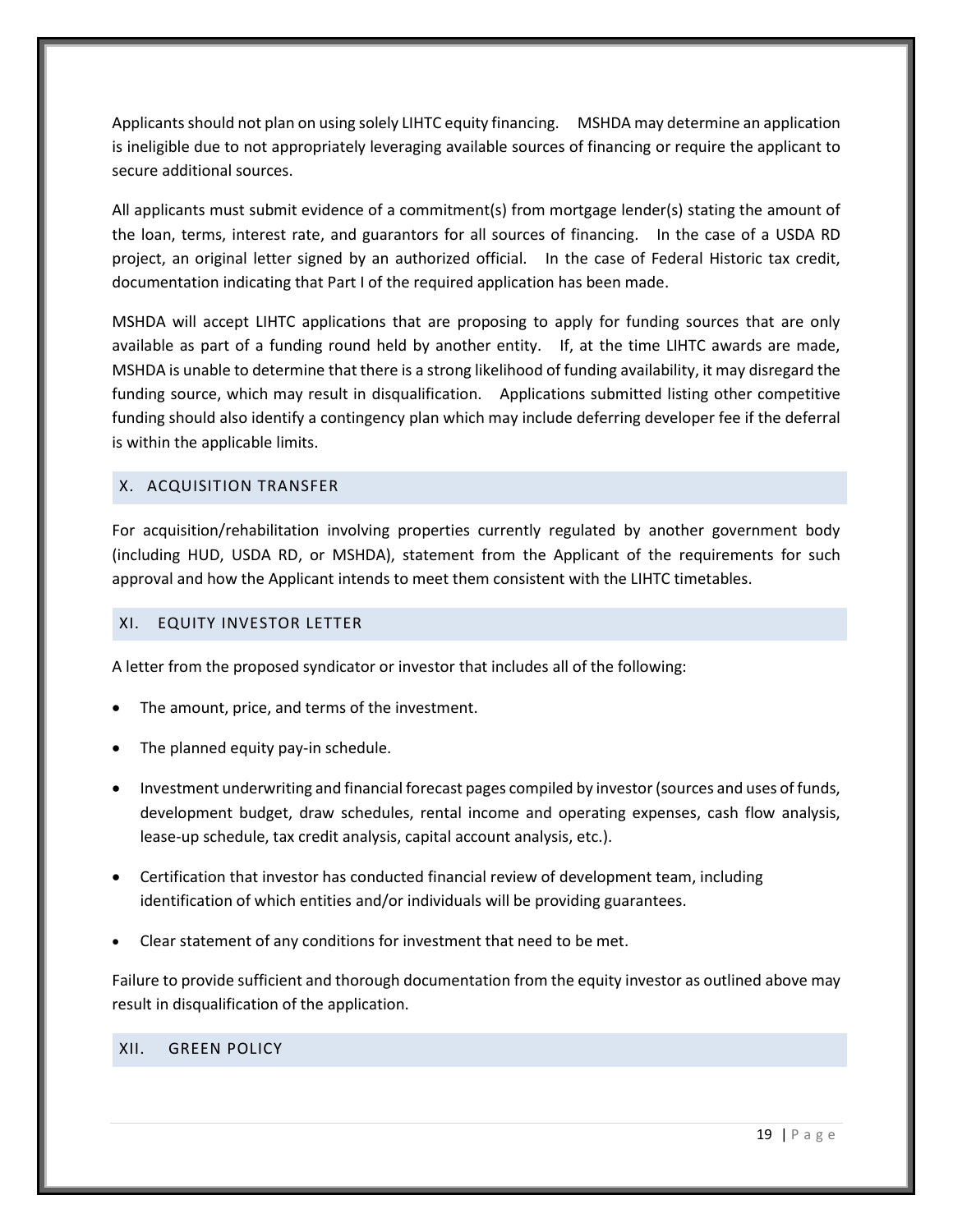Applicants should not plan on using solely LIHTC equity financing. MSHDA may determine an application is ineligible due to not appropriately leveraging available sources of financing or require the applicant to secure additional sources.

All applicants must submit evidence of a commitment(s) from mortgage lender(s) stating the amount of the loan, terms, interest rate, and guarantors for all sources of financing. In the case of a USDA RD project, an original letter signed by an authorized official. In the case of Federal Historic tax credit, documentation indicating that Part I of the required application has been made.

MSHDA will accept LIHTC applications that are proposing to apply for funding sources that are only available as part of a funding round held by another entity. If, at the time LIHTC awards are made, MSHDA is unable to determine that there is a strong likelihood of funding availability, it may disregard the funding source, which may result in disqualification. Applications submitted listing other competitive funding should also identify a contingency plan which may include deferring developer fee if the deferral is within the applicable limits.

## <span id="page-23-0"></span>X. ACQUISITION TRANSFER

For acquisition/rehabilitation involving properties currently regulated by another government body (including HUD, USDA RD, or MSHDA), statement from the Applicant of the requirements for such approval and how the Applicant intends to meet them consistent with the LIHTC timetables.

#### <span id="page-23-3"></span><span id="page-23-1"></span>XI. EQUITY INVESTOR LETTER

A letter from the proposed syndicator or investor that includes all of the following:

- The amount, price, and terms of the investment.
- The planned equity pay-in schedule.
- Investment underwriting and financial forecast pages compiled by investor (sources and uses of funds, development budget, draw schedules, rental income and operating expenses, cash flow analysis, lease-up schedule, tax credit analysis, capital account analysis, etc.).
- Certification that investor has conducted financial review of development team, including identification of which entities and/or individuals will be providing guarantees.
- Clear statement of any conditions for investment that need to be met.

Failure to provide sufficient and thorough documentation from the equity investor as outlined above may result in disqualification of the application.

## <span id="page-23-4"></span><span id="page-23-2"></span>XII. GREEN POLICY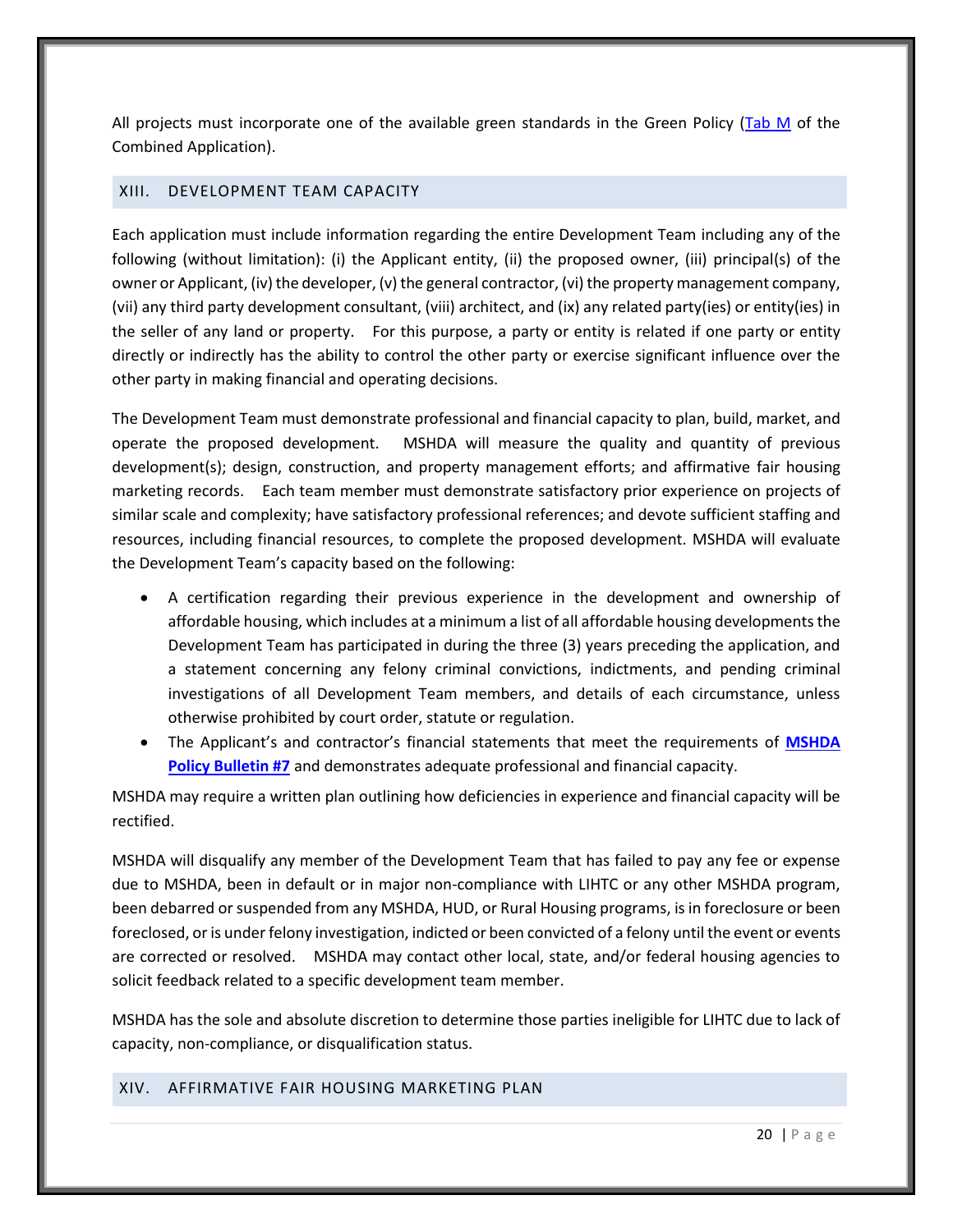All projects must incorporate one of the available green standards in the Green Policy [\(Tab M](http://www.michigan.gov/mshda/0,4641,7-141-5587_5601-60010--,00.html) of the Combined Application).

#### <span id="page-24-0"></span>XIII. DEVELOPMENT TEAM CAPACITY

Each application must include information regarding the entire Development Team including any of the following (without limitation): (i) the Applicant entity, (ii) the proposed owner, (iii) principal(s) of the owner or Applicant, (iv) the developer, (v) the general contractor, (vi) the property management company, (vii) any third party development consultant, (viii) architect, and (ix) any related party(ies) or entity(ies) in the seller of any land or property. For this purpose, a party or entity is related if one party or entity directly or indirectly has the ability to control the other party or exercise significant influence over the other party in making financial and operating decisions.

The Development Team must demonstrate professional and financial capacity to plan, build, market, and operate the proposed development. MSHDA will measure the quality and quantity of previous development(s); design, construction, and property management efforts; and affirmative fair housing marketing records. Each team member must demonstrate satisfactory prior experience on projects of similar scale and complexity; have satisfactory professional references; and devote sufficient staffing and resources, including financial resources, to complete the proposed development. MSHDA will evaluate the Development Team's capacity based on the following:

- A certification regarding their previous experience in the development and ownership of affordable housing, which includes at a minimum a list of all affordable housing developments the Development Team has participated in during the three (3) years preceding the application, and a statement concerning any felony criminal convictions, indictments, and pending criminal investigations of all Development Team members, and details of each circumstance, unless otherwise prohibited by court order, statute or regulation.
- The Applicant's and contractor's financial statements that meet the requirements of **[MSHDA](http://www.michigan.gov/documents/mshda/mshda_li_ca_32_tab_w_lihtc_policy_bulletins_183888_7.pdf)  [Policy Bulletin #7](http://www.michigan.gov/documents/mshda/mshda_li_ca_32_tab_w_lihtc_policy_bulletins_183888_7.pdf)** and demonstrates adequate professional and financial capacity.

MSHDA may require a written plan outlining how deficiencies in experience and financial capacity will be rectified.

MSHDA will disqualify any member of the Development Team that has failed to pay any fee or expense due to MSHDA, been in default or in major non-compliance with LIHTC or any other MSHDA program, been debarred or suspended from any MSHDA, HUD, or Rural Housing programs, is in foreclosure or been foreclosed, or is under felony investigation, indicted or been convicted of a felony until the event or events are corrected or resolved. MSHDA may contact other local, state, and/or federal housing agencies to solicit feedback related to a specific development team member.

MSHDA has the sole and absolute discretion to determine those parties ineligible for LIHTC due to lack of capacity, non-compliance, or disqualification status.

#### <span id="page-24-1"></span>XIV. AFFIRMATIVE FAIR HOUSING MARKETING PLAN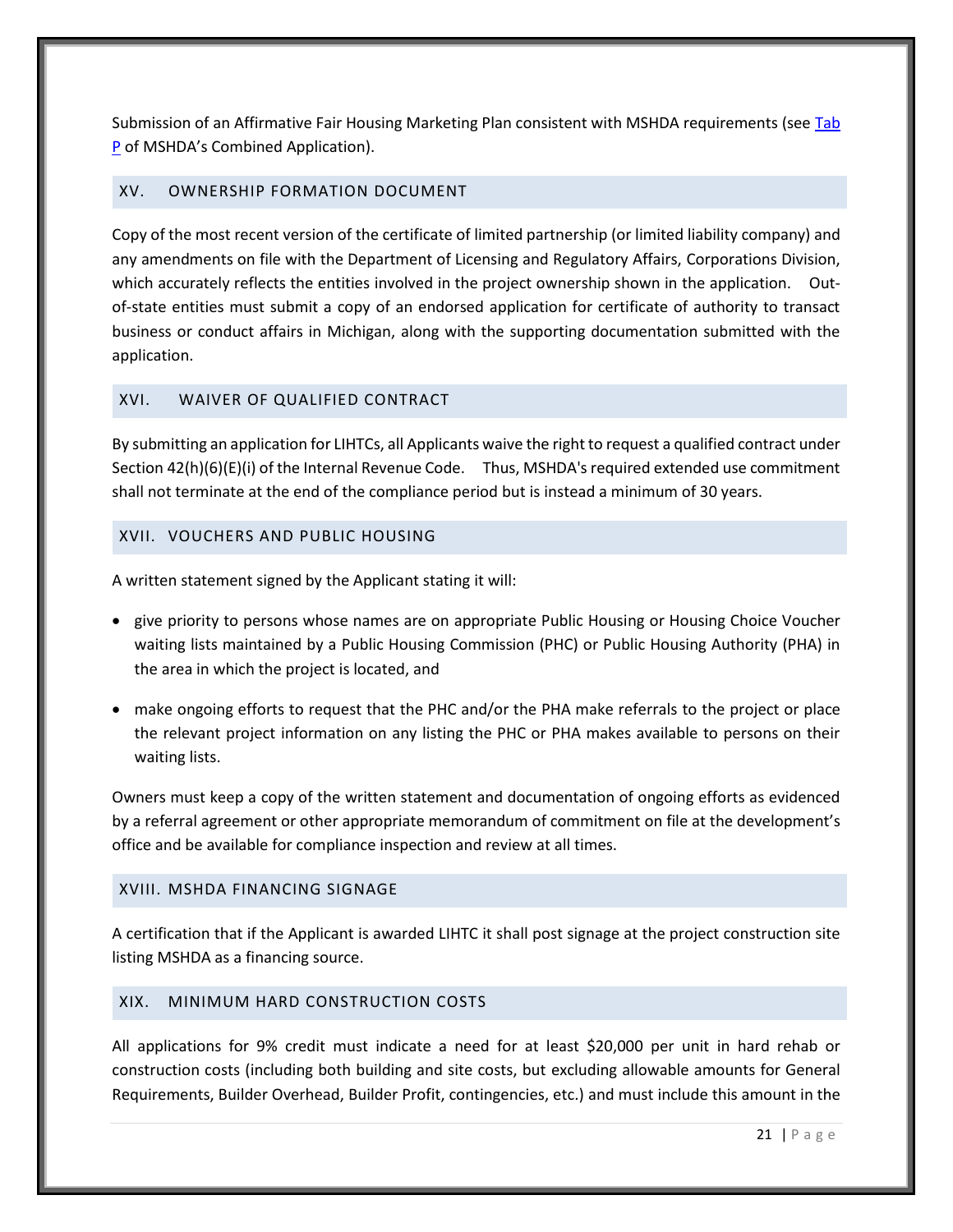Submission of an Affirmative Fair Housing Marketing Plan consistent with MSHDA requirements (se[e Tab](http://www.michigan.gov/mshda/0,4641,7-141-5587_5601-60010--,00.html)  [P](http://www.michigan.gov/mshda/0,4641,7-141-5587_5601-60010--,00.html) of MSHDA's Combined Application).

#### <span id="page-25-0"></span>XV. OWNERSHIP FORMATION DOCUMENT

Copy of the most recent version of the certificate of limited partnership (or limited liability company) and any amendments on file with the Department of Licensing and Regulatory Affairs, Corporations Division, which accurately reflects the entities involved in the project ownership shown in the application. Outof-state entities must submit a copy of an endorsed application for certificate of authority to transact business or conduct affairs in Michigan, along with the supporting documentation submitted with the application.

## <span id="page-25-5"></span><span id="page-25-1"></span>XVI. WAIVER OF QUALIFIED CONTRACT

By submitting an application for LIHTCs, all Applicants waive the right to request a qualified contract under Section 42(h)(6)(E)(i) of the Internal Revenue Code. Thus, MSHDA's required extended use commitment shall not terminate at the end of the compliance period but is instead a minimum of 30 years.

#### <span id="page-25-2"></span>XVII. VOUCHERS AND PUBLIC HOUSING

A written statement signed by the Applicant stating it will:

- give priority to persons whose names are on appropriate Public Housing or Housing Choice Voucher waiting lists maintained by a Public Housing Commission (PHC) or Public Housing Authority (PHA) in the area in which the project is located, and
- make ongoing efforts to request that the PHC and/or the PHA make referrals to the project or place the relevant project information on any listing the PHC or PHA makes available to persons on their waiting lists.

Owners must keep a copy of the written statement and documentation of ongoing efforts as evidenced by a referral agreement or other appropriate memorandum of commitment on file at the development's office and be available for compliance inspection and review at all times.

#### <span id="page-25-3"></span>XVIII. MSHDA FINANCING SIGNAGE

A certification that if the Applicant is awarded LIHTC it shall post signage at the project construction site listing MSHDA as a financing source.

## <span id="page-25-4"></span>XIX. MINIMUM HARD CONSTRUCTION COSTS

All applications for 9% credit must indicate a need for at least \$20,000 per unit in hard rehab or construction costs (including both building and site costs, but excluding allowable amounts for General Requirements, Builder Overhead, Builder Profit, contingencies, etc.) and must include this amount in the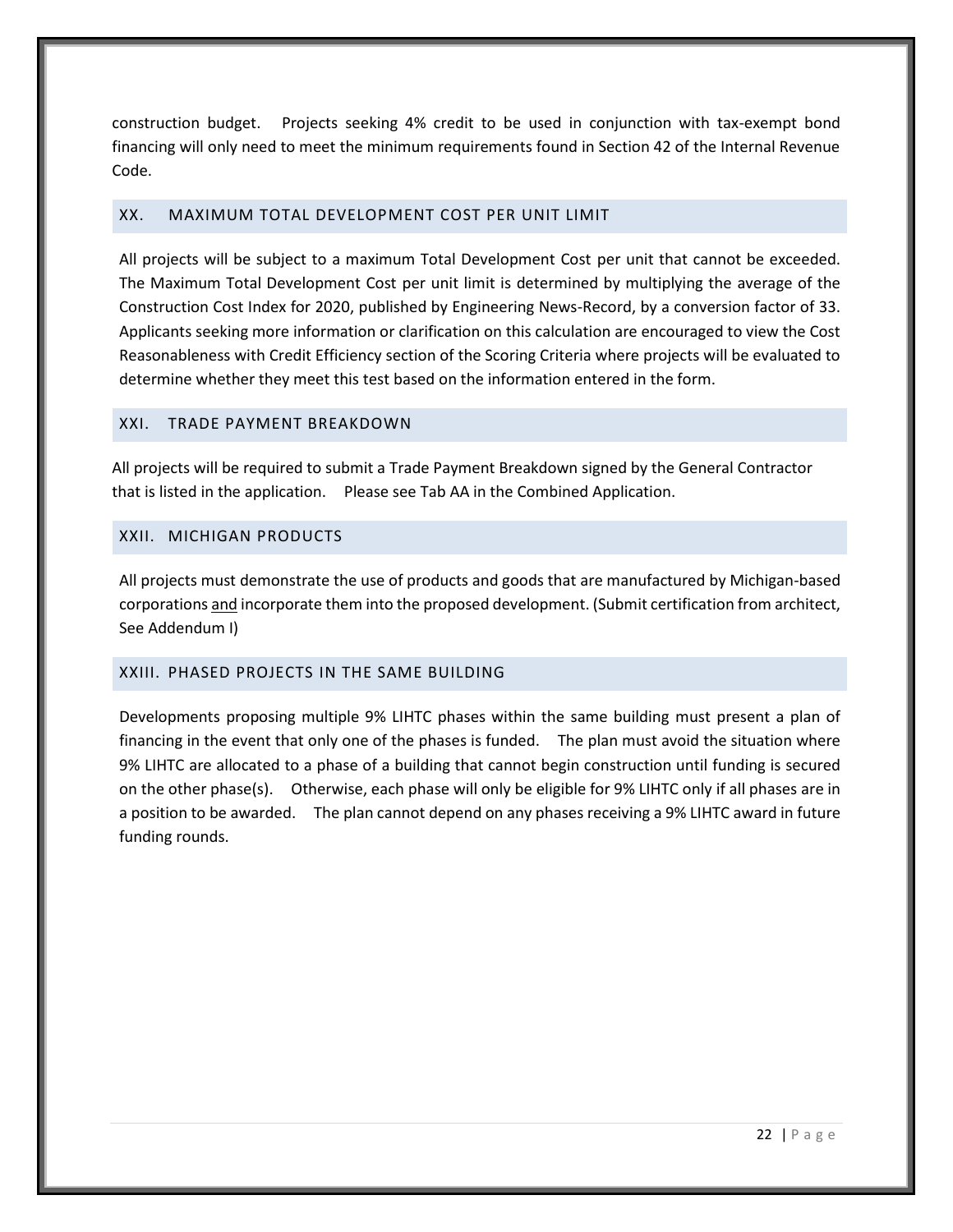construction budget. Projects seeking 4% credit to be used in conjunction with tax-exempt bond financing will only need to meet the minimum requirements found in Section 42 of the Internal Revenue Code.

## <span id="page-26-0"></span>XX. MAXIMUM TOTAL DEVELOPMENT COST PER UNIT LIMIT

All projects will be subject to a maximum Total Development Cost per unit that cannot be exceeded. The Maximum Total Development Cost per unit limit is determined by multiplying the average of the Construction Cost Index for 2020, published by Engineering News-Record, by a conversion factor of 33. Applicants seeking more information or clarification on this calculation are encouraged to view the Cost Reasonableness with Credit Efficiency section of the Scoring Criteria where projects will be evaluated to determine whether they meet this test based on the information entered in the form.

#### <span id="page-26-1"></span>XXI. TRADE PAYMENT BREAKDOWN

All projects will be required to submit a Trade Payment Breakdown signed by the General Contractor that is listed in the application. Please see Tab AA in the Combined Application.

## <span id="page-26-2"></span>XXII. MICHIGAN PRODUCTS

All projects must demonstrate the use of products and goods that are manufactured by Michigan-based corporations and incorporate them into the proposed development. (Submit certification from architect, See Addendum I)

## <span id="page-26-3"></span>XXIII. PHASED PROJECTS IN THE SAME BUILDING

<span id="page-26-4"></span>Developments proposing multiple 9% LIHTC phases within the same building must present a plan of financing in the event that only one of the phases is funded. The plan must avoid the situation where 9% LIHTC are allocated to a phase of a building that cannot begin construction until funding is secured on the other phase(s). Otherwise, each phase will only be eligible for 9% LIHTC only if all phases are in a position to be awarded. The plan cannot depend on any phases receiving a 9% LIHTC award in future funding rounds.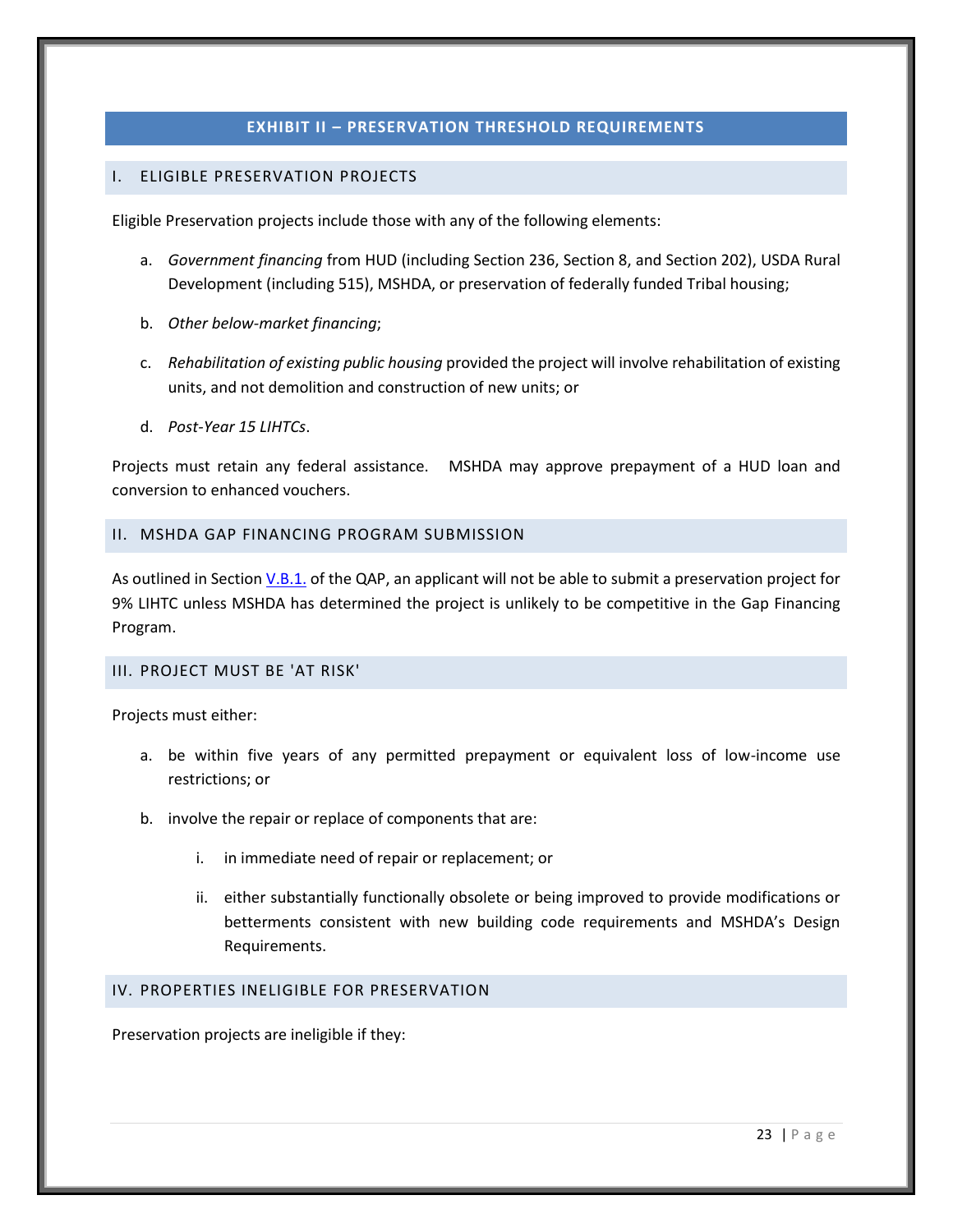## **EXHIBIT II – PRESERVATION THRESHOLD REQUIREMENTS**

#### <span id="page-27-1"></span><span id="page-27-0"></span>I. ELIGIBLE PRESERVATION PROJECTS

Eligible Preservation projects include those with any of the following elements:

- a. *Government financing* from HUD (including Section 236, Section 8, and Section 202), USDA Rural Development (including 515), MSHDA, or preservation of federally funded Tribal housing;
- b. *Other below-market financing*;
- c. *Rehabilitation of existing public housing* provided the project will involve rehabilitation of existing units, and not demolition and construction of new units; or
- d. *Post-Year 15 LIHTCs*.

Projects must retain any federal assistance. MSHDA may approve prepayment of a HUD loan and conversion to enhanced vouchers.

#### <span id="page-27-2"></span>II. MSHDA GAP FINANCING PROGRAM SUBMISSION

As outlined in Section [V.B.1.](#page-9-1) of the QAP, an applicant will not be able to submit a preservation project for 9% LIHTC unless MSHDA has determined the project is unlikely to be competitive in the Gap Financing Program.

# <span id="page-27-3"></span>III. PROJECT MUST BE 'AT RISK'

Projects must either:

- a. be within five years of any permitted prepayment or equivalent loss of low-income use restrictions; or
- b. involve the repair or replace of components that are:
	- i. in immediate need of repair or replacement; or
	- ii. either substantially functionally obsolete or being improved to provide modifications or betterments consistent with new building code requirements and MSHDA's Design Requirements.

#### <span id="page-27-4"></span>IV. PROPERTIES INELIGIBLE FOR PRESERVATION

Preservation projects are ineligible if they: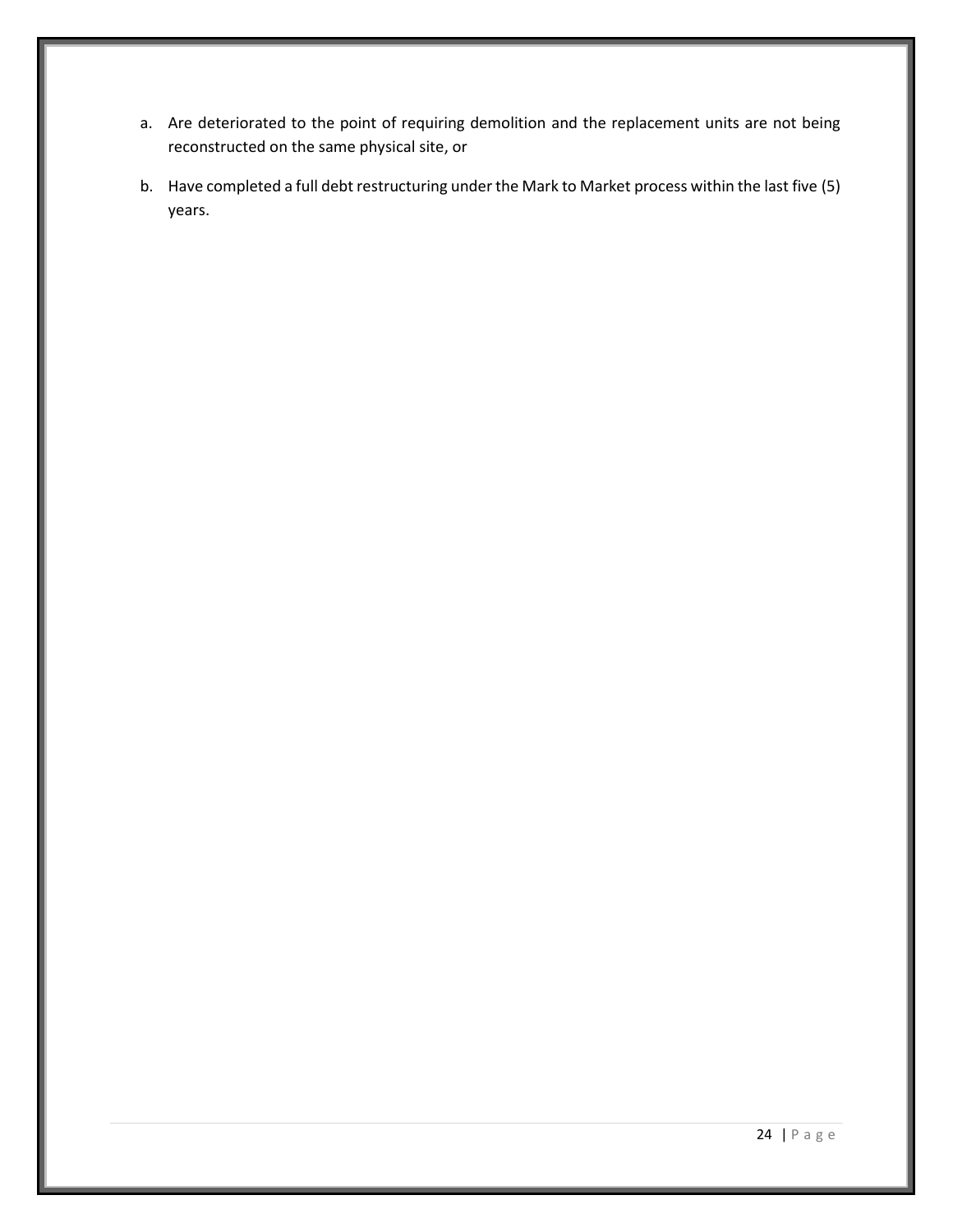- a. Are deteriorated to the point of requiring demolition and the replacement units are not being reconstructed on the same physical site, or
- b. Have completed a full debt restructuring under the Mark to Market process within the last five (5) years.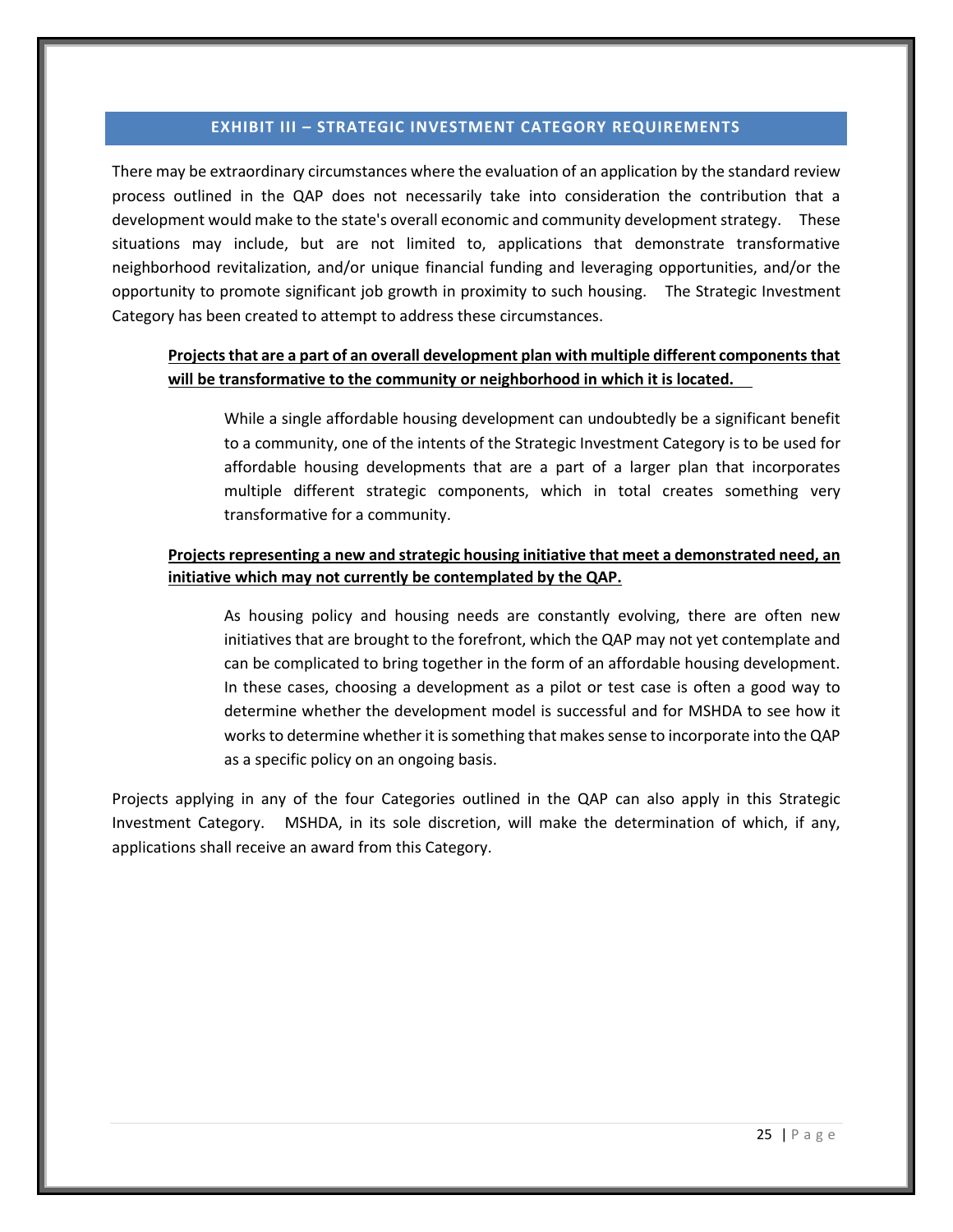#### **EXHIBIT III – STRATEGIC INVESTMENT CATEGORY REQUIREMENTS**

<span id="page-29-0"></span>There may be extraordinary circumstances where the evaluation of an application by the standard review process outlined in the QAP does not necessarily take into consideration the contribution that a development would make to the state's overall economic and community development strategy. These situations may include, but are not limited to, applications that demonstrate transformative neighborhood revitalization, and/or unique financial funding and leveraging opportunities, and/or the opportunity to promote significant job growth in proximity to such housing. The Strategic Investment Category has been created to attempt to address these circumstances.

# **Projects that are a part of an overall development plan with multiple different components that will be transformative to the community or neighborhood in which it is located.**

While a single affordable housing development can undoubtedly be a significant benefit to a community, one of the intents of the Strategic Investment Category is to be used for affordable housing developments that are a part of a larger plan that incorporates multiple different strategic components, which in total creates something very transformative for a community.

## **Projects representing a new and strategic housing initiative that meet a demonstrated need, an initiative which may not currently be contemplated by the QAP.**

As housing policy and housing needs are constantly evolving, there are often new initiatives that are brought to the forefront, which the QAP may not yet contemplate and can be complicated to bring together in the form of an affordable housing development. In these cases, choosing a development as a pilot or test case is often a good way to determine whether the development model is successful and for MSHDA to see how it works to determine whether it is something that makes sense to incorporate into the QAP as a specific policy on an ongoing basis.

Projects applying in any of the four Categories outlined in the QAP can also apply in this Strategic Investment Category. MSHDA, in its sole discretion, will make the determination of which, if any, applications shall receive an award from this Category.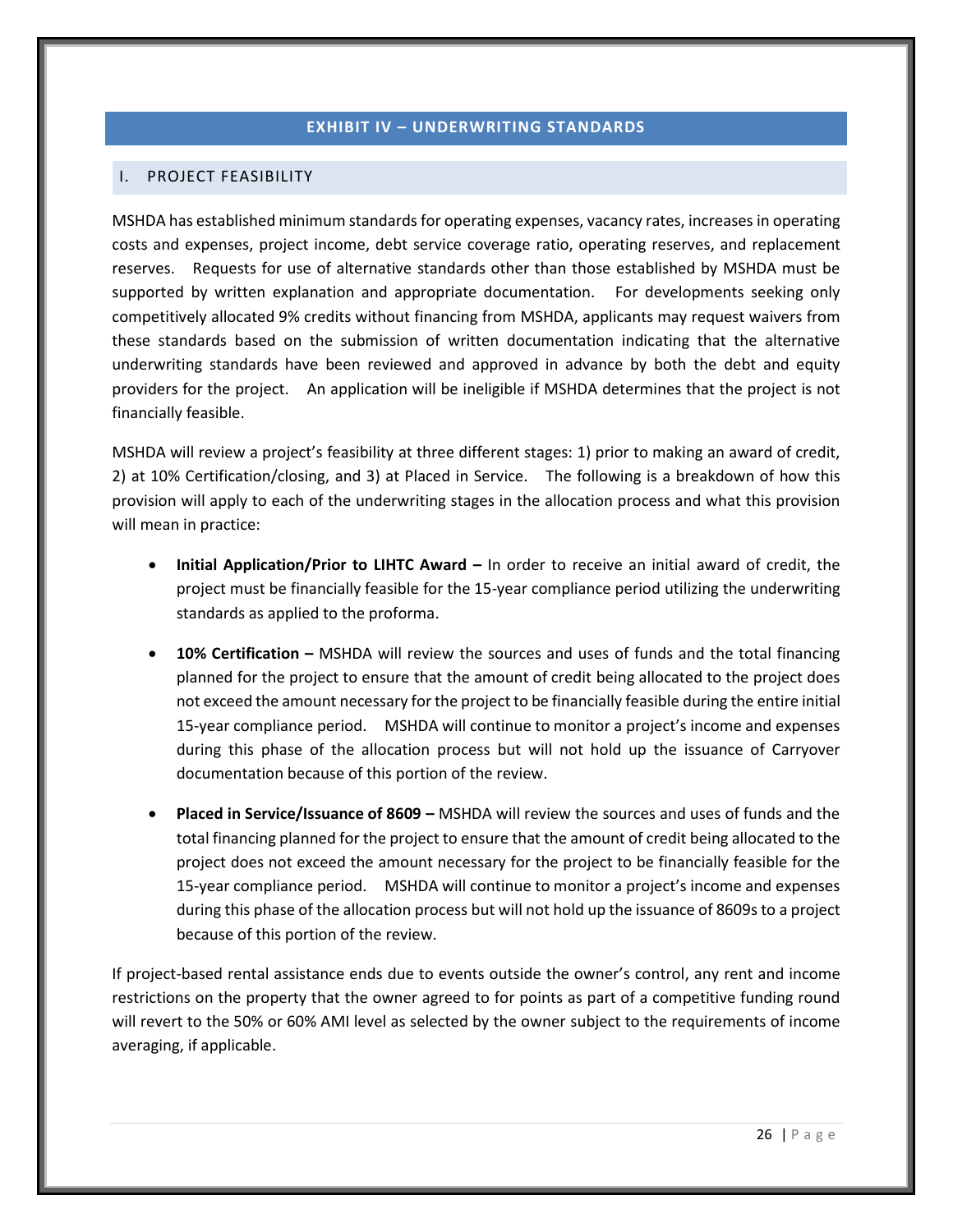## **EXHIBIT IV – UNDERWRITING STANDARDS**

#### <span id="page-30-1"></span><span id="page-30-0"></span>I. PROJECT FEASIBILITY

MSHDA has established minimum standards for operating expenses, vacancy rates, increases in operating costs and expenses, project income, debt service coverage ratio, operating reserves, and replacement reserves. Requests for use of alternative standards other than those established by MSHDA must be supported by written explanation and appropriate documentation. For developments seeking only competitively allocated 9% credits without financing from MSHDA, applicants may request waivers from these standards based on the submission of written documentation indicating that the alternative underwriting standards have been reviewed and approved in advance by both the debt and equity providers for the project. An application will be ineligible if MSHDA determines that the project is not financially feasible.

MSHDA will review a project's feasibility at three different stages: 1) prior to making an award of credit, 2) at 10% Certification/closing, and 3) at Placed in Service. The following is a breakdown of how this provision will apply to each of the underwriting stages in the allocation process and what this provision will mean in practice:

- **Initial Application/Prior to LIHTC Award –** In order to receive an initial award of credit, the project must be financially feasible for the 15-year compliance period utilizing the underwriting standards as applied to the proforma.
- **10% Certification –** MSHDA will review the sources and uses of funds and the total financing planned for the project to ensure that the amount of credit being allocated to the project does not exceed the amount necessary for the project to be financially feasible during the entire initial 15-year compliance period. MSHDA will continue to monitor a project's income and expenses during this phase of the allocation process but will not hold up the issuance of Carryover documentation because of this portion of the review.
- **Placed in Service/Issuance of 8609 –** MSHDA will review the sources and uses of funds and the total financing planned for the project to ensure that the amount of credit being allocated to the project does not exceed the amount necessary for the project to be financially feasible for the 15-year compliance period. MSHDA will continue to monitor a project's income and expenses during this phase of the allocation process but will not hold up the issuance of 8609s to a project because of this portion of the review.

If project-based rental assistance ends due to events outside the owner's control, any rent and income restrictions on the property that the owner agreed to for points as part of a competitive funding round will revert to the 50% or 60% AMI level as selected by the owner subject to the requirements of income averaging, if applicable.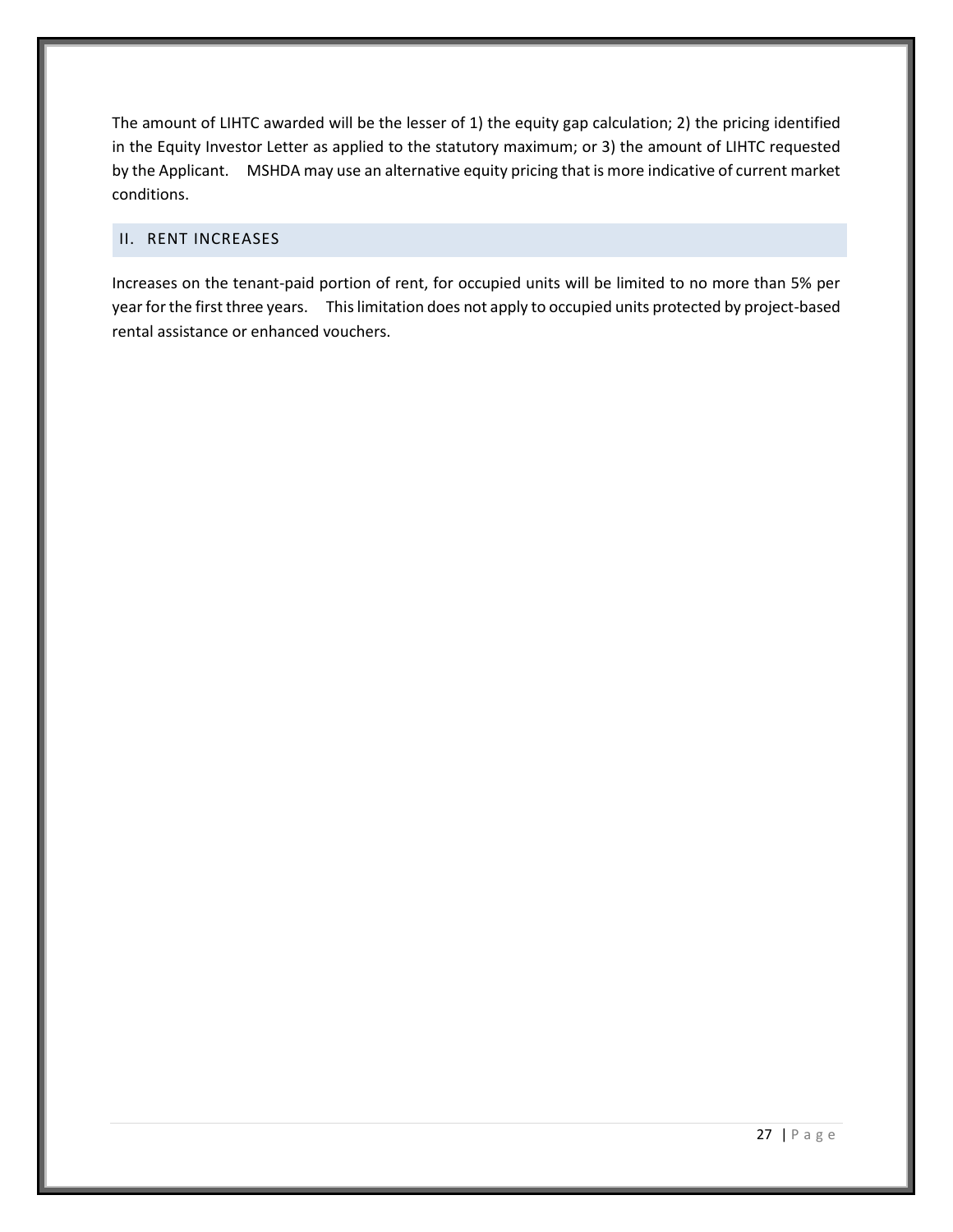The amount of LIHTC awarded will be the lesser of 1) the equity gap calculation; 2) the pricing identified in the Equity Investor Letter as applied to the statutory maximum; or 3) the amount of LIHTC requested by the Applicant. MSHDA may use an alternative equity pricing that is more indicative of current market conditions.

## <span id="page-31-0"></span>II. RENT INCREASES

Increases on the tenant-paid portion of rent, for occupied units will be limited to no more than 5% per year for the first three years. This limitation does not apply to occupied units protected by project-based rental assistance or enhanced vouchers.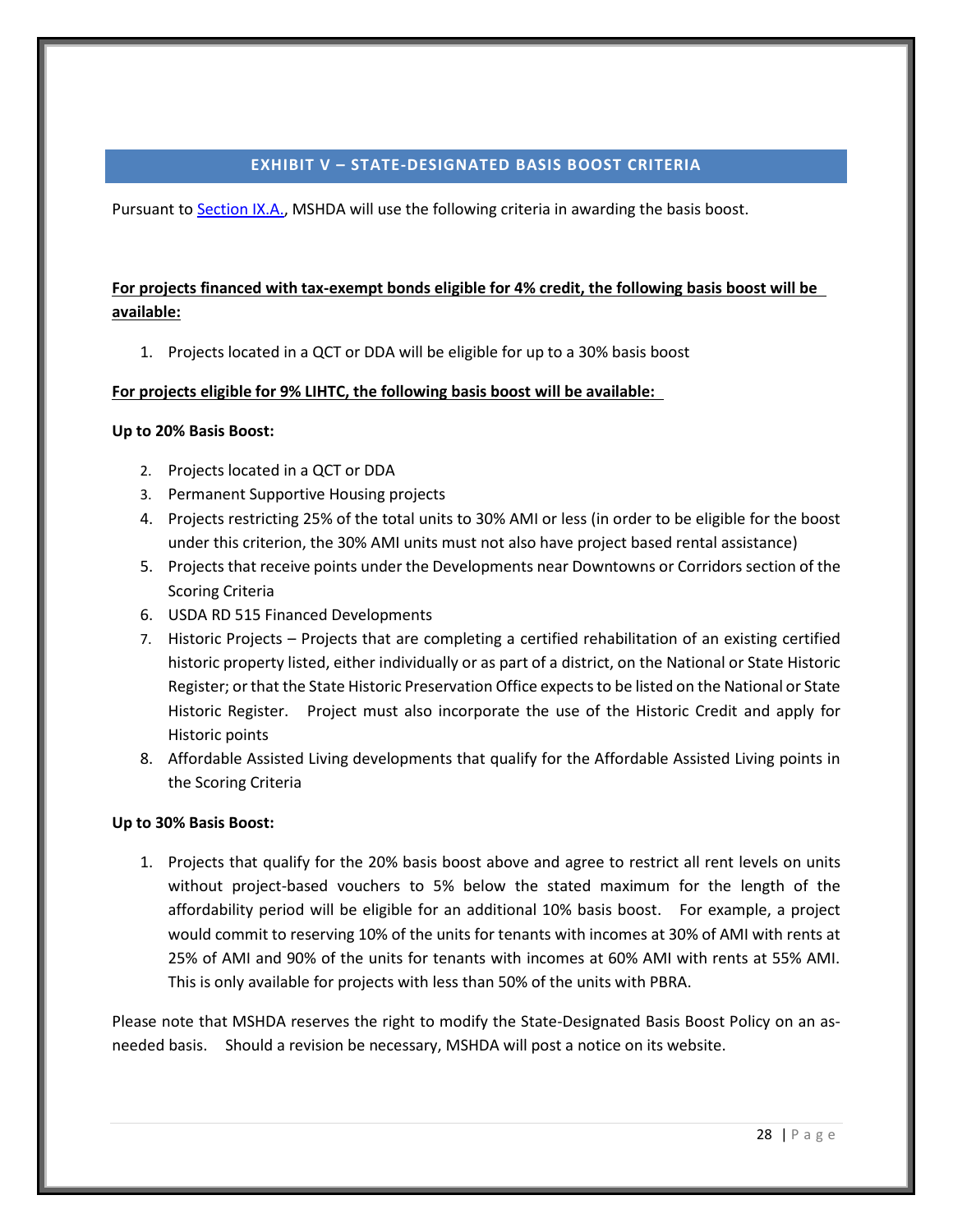#### **EXHIBIT V – STATE-DESIGNATED BASIS BOOST CRITERIA**

<span id="page-32-0"></span>Pursuant t[o Section IX.A.,](#page-16-1) MSHDA will use the following criteria in awarding the basis boost.

# **For projects financed with tax-exempt bonds eligible for 4% credit, the following basis boost will be available:**

1. Projects located in a QCT or DDA will be eligible for up to a 30% basis boost

# **For projects eligible for 9% LIHTC, the following basis boost will be available:**

# **Up to 20% Basis Boost:**

- 2. Projects located in a QCT or DDA
- 3. Permanent Supportive Housing projects
- 4. Projects restricting 25% of the total units to 30% AMI or less (in order to be eligible for the boost under this criterion, the 30% AMI units must not also have project based rental assistance)
- 5. Projects that receive points under the Developments near Downtowns or Corridors section of the Scoring Criteria
- 6. USDA RD 515 Financed Developments
- 7. Historic Projects Projects that are completing a certified rehabilitation of an existing certified historic property listed, either individually or as part of a district, on the National or State Historic Register; or that the State Historic Preservation Office expects to be listed on the National or State Historic Register. Project must also incorporate the use of the Historic Credit and apply for Historic points
- 8. Affordable Assisted Living developments that qualify for the Affordable Assisted Living points in the Scoring Criteria

# **Up to 30% Basis Boost:**

1. Projects that qualify for the 20% basis boost above and agree to restrict all rent levels on units without project-based vouchers to 5% below the stated maximum for the length of the affordability period will be eligible for an additional 10% basis boost. For example, a project would commit to reserving 10% of the units for tenants with incomes at 30% of AMI with rents at 25% of AMI and 90% of the units for tenants with incomes at 60% AMI with rents at 55% AMI. This is only available for projects with less than 50% of the units with PBRA.

Please note that MSHDA reserves the right to modify the State-Designated Basis Boost Policy on an asneeded basis. Should a revision be necessary, MSHDA will post a notice on its website.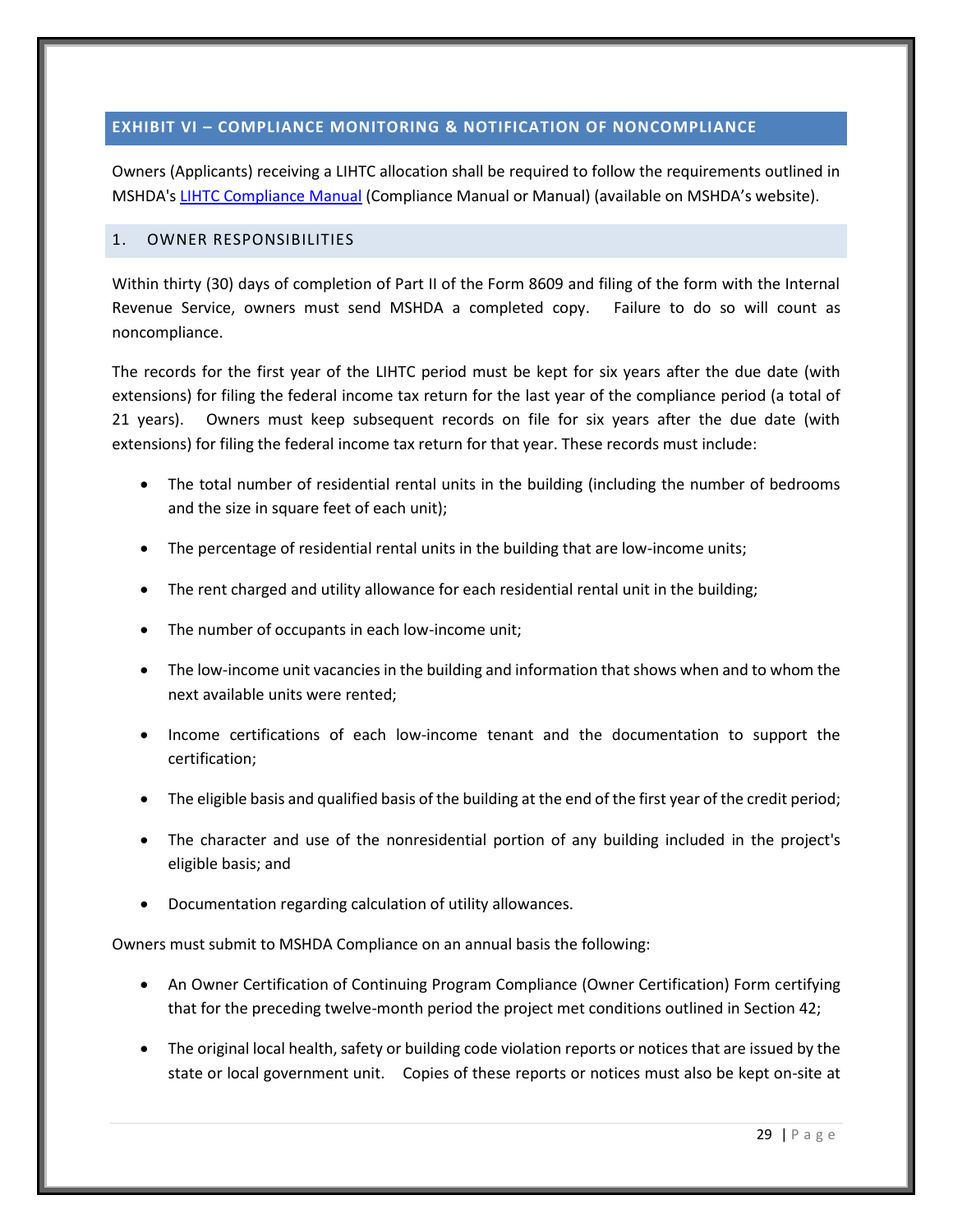## <span id="page-33-0"></span>**EXHIBIT VI – COMPLIANCE MONITORING & NOTIFICATION OF NONCOMPLIANCE**

Owners (Applicants) receiving a LIHTC allocation shall be required to follow the requirements outlined in MSHDA'[s LIHTC Compliance Manual](http://www.michigan.gov/mshda/0,4641,7-141-8002_26576_26578---,00.html) (Compliance Manual or Manual) (available on MSHDA's website).

#### <span id="page-33-1"></span>1. OWNER RESPONSIBILITIES

Within thirty (30) days of completion of Part II of the Form 8609 and filing of the form with the Internal Revenue Service, owners must send MSHDA a completed copy. Failure to do so will count as noncompliance.

The records for the first year of the LIHTC period must be kept for six years after the due date (with extensions) for filing the federal income tax return for the last year of the compliance period (a total of 21 years). Owners must keep subsequent records on file for six years after the due date (with extensions) for filing the federal income tax return for that year. These records must include:

- The total number of residential rental units in the building (including the number of bedrooms and the size in square feet of each unit);
- The percentage of residential rental units in the building that are low-income units;
- The rent charged and utility allowance for each residential rental unit in the building;
- The number of occupants in each low-income unit;
- The low-income unit vacancies in the building and information that shows when and to whom the next available units were rented;
- Income certifications of each low-income tenant and the documentation to support the certification;
- The eligible basis and qualified basis of the building at the end of the first year of the credit period;
- The character and use of the nonresidential portion of any building included in the project's eligible basis; and
- Documentation regarding calculation of utility allowances.

Owners must submit to MSHDA Compliance on an annual basis the following:

- An Owner Certification of Continuing Program Compliance (Owner Certification) Form certifying that for the preceding twelve-month period the project met conditions outlined in Section 42;
- The original local health, safety or building code violation reports or notices that are issued by the state or local government unit. Copies of these reports or notices must also be kept on-site at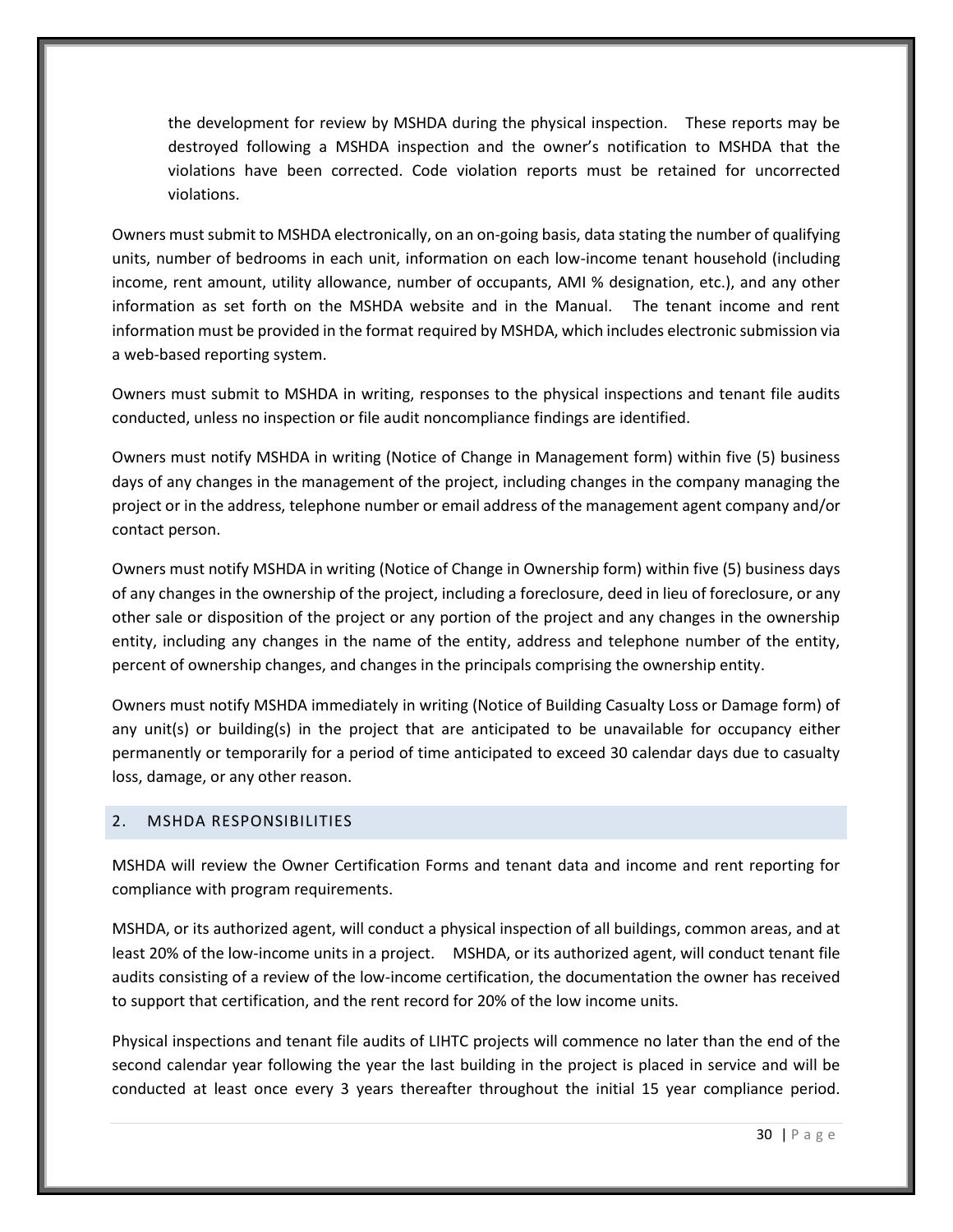the development for review by MSHDA during the physical inspection. These reports may be destroyed following a MSHDA inspection and the owner's notification to MSHDA that the violations have been corrected. Code violation reports must be retained for uncorrected violations.

Owners must submit to MSHDA electronically, on an on-going basis, data stating the number of qualifying units, number of bedrooms in each unit, information on each low-income tenant household (including income, rent amount, utility allowance, number of occupants, AMI % designation, etc.), and any other information as set forth on the MSHDA website and in the Manual. The tenant income and rent information must be provided in the format required by MSHDA, which includes electronic submission via a web-based reporting system.

Owners must submit to MSHDA in writing, responses to the physical inspections and tenant file audits conducted, unless no inspection or file audit noncompliance findings are identified.

Owners must notify MSHDA in writing (Notice of Change in Management form) within five (5) business days of any changes in the management of the project, including changes in the company managing the project or in the address, telephone number or email address of the management agent company and/or contact person.

Owners must notify MSHDA in writing (Notice of Change in Ownership form) within five (5) business days of any changes in the ownership of the project, including a foreclosure, deed in lieu of foreclosure, or any other sale or disposition of the project or any portion of the project and any changes in the ownership entity, including any changes in the name of the entity, address and telephone number of the entity, percent of ownership changes, and changes in the principals comprising the ownership entity.

Owners must notify MSHDA immediately in writing (Notice of Building Casualty Loss or Damage form) of any unit(s) or building(s) in the project that are anticipated to be unavailable for occupancy either permanently or temporarily for a period of time anticipated to exceed 30 calendar days due to casualty loss, damage, or any other reason.

## <span id="page-34-0"></span>2. MSHDA RESPONSIBILITIES

MSHDA will review the Owner Certification Forms and tenant data and income and rent reporting for compliance with program requirements.

MSHDA, or its authorized agent, will conduct a physical inspection of all buildings, common areas, and at least 20% of the low-income units in a project. MSHDA, or its authorized agent, will conduct tenant file audits consisting of a review of the low-income certification, the documentation the owner has received to support that certification, and the rent record for 20% of the low income units.

Physical inspections and tenant file audits of LIHTC projects will commence no later than the end of the second calendar year following the year the last building in the project is placed in service and will be conducted at least once every 3 years thereafter throughout the initial 15 year compliance period.